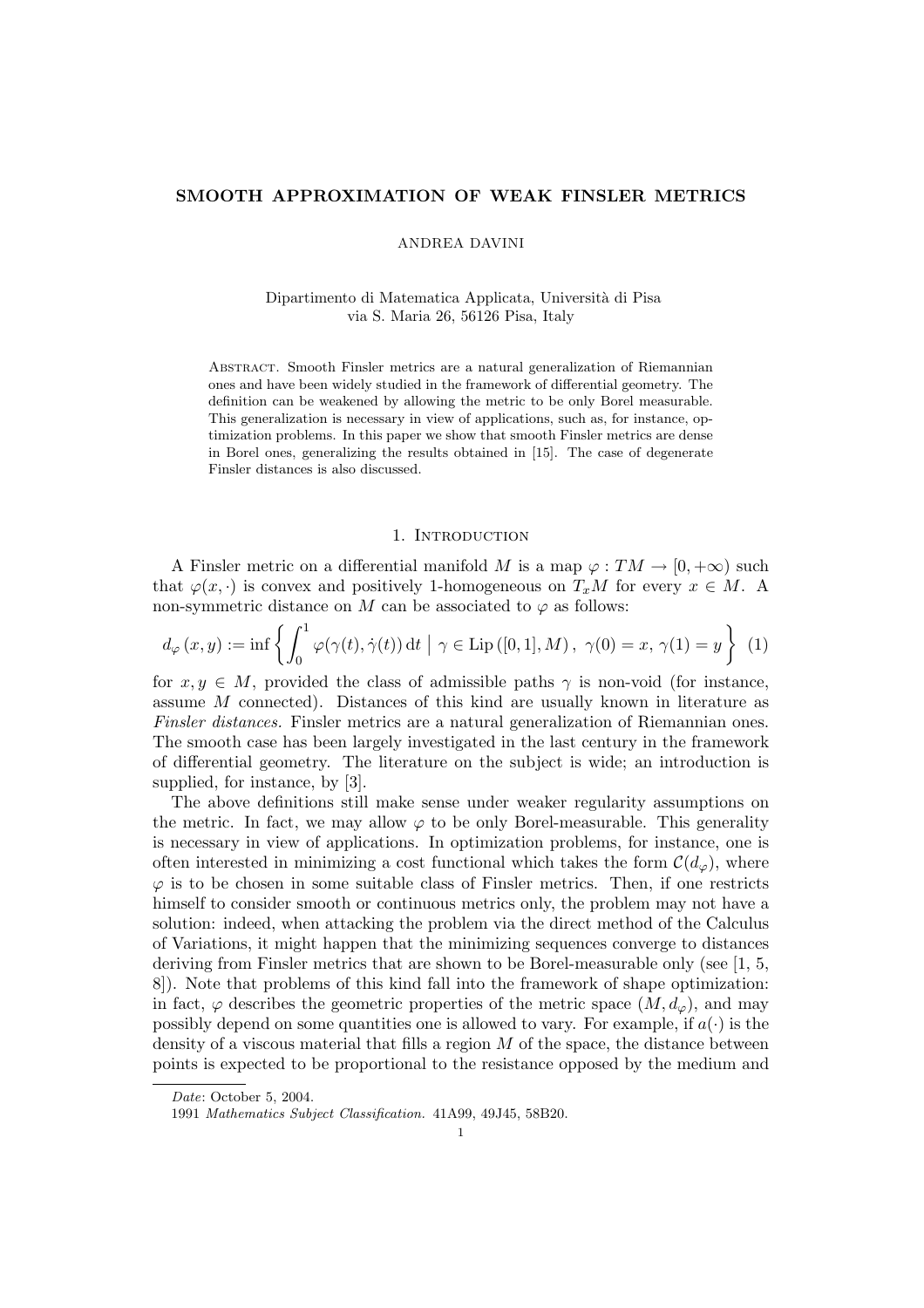### SMOOTH APPROXIMATION OF WEAK FINSLER METRICS

ANDREA DAVINI

Dipartimento di Matematica Applicata, Universit`a di Pisa via S. Maria 26, 56126 Pisa, Italy

Abstract. Smooth Finsler metrics are a natural generalization of Riemannian ones and have been widely studied in the framework of differential geometry. The definition can be weakened by allowing the metric to be only Borel measurable. This generalization is necessary in view of applications, such as, for instance, optimization problems. In this paper we show that smooth Finsler metrics are dense in Borel ones, generalizing the results obtained in [15]. The case of degenerate Finsler distances is also discussed.

### 1. INTRODUCTION

A Finsler metric on a differential manifold M is a map  $\varphi: TM \to [0, +\infty)$  such that  $\varphi(x, \cdot)$  is convex and positively 1-homogeneous on  $T_xM$  for every  $x \in M$ . A non-symmetric distance on M can be associated to  $\varphi$  as follows:

$$
d_{\varphi}(x, y) := \inf \left\{ \int_0^1 \varphi(\gamma(t), \dot{\gamma}(t)) dt \mid \gamma \in \text{Lip}([0, 1], M), \ \gamma(0) = x, \ \gamma(1) = y \right\} \ (1)
$$

for  $x, y \in M$ , provided the class of admissible paths  $\gamma$  is non-void (for instance, assume M connected). Distances of this kind are usually known in literature as Finsler distances. Finsler metrics are a natural generalization of Riemannian ones. The smooth case has been largely investigated in the last century in the framework of differential geometry. The literature on the subject is wide; an introduction is supplied, for instance, by [3].

The above definitions still make sense under weaker regularity assumptions on the metric. In fact, we may allow  $\varphi$  to be only Borel-measurable. This generality is necessary in view of applications. In optimization problems, for instance, one is often interested in minimizing a cost functional which takes the form  $\mathcal{C}(d_{\varphi})$ , where  $\varphi$  is to be chosen in some suitable class of Finsler metrics. Then, if one restricts himself to consider smooth or continuous metrics only, the problem may not have a solution: indeed, when attacking the problem via the direct method of the Calculus of Variations, it might happen that the minimizing sequences converge to distances deriving from Finsler metrics that are shown to be Borel-measurable only (see [1, 5, 8]). Note that problems of this kind fall into the framework of shape optimization: in fact,  $\varphi$  describes the geometric properties of the metric space  $(M, d_{\varphi})$ , and may possibly depend on some quantities one is allowed to vary. For example, if  $a(\cdot)$  is the density of a viscous material that fills a region  $M$  of the space, the distance between points is expected to be proportional to the resistance opposed by the medium and

Date: October 5, 2004.

<sup>1991</sup> Mathematics Subject Classification. 41A99, 49J45, 58B20.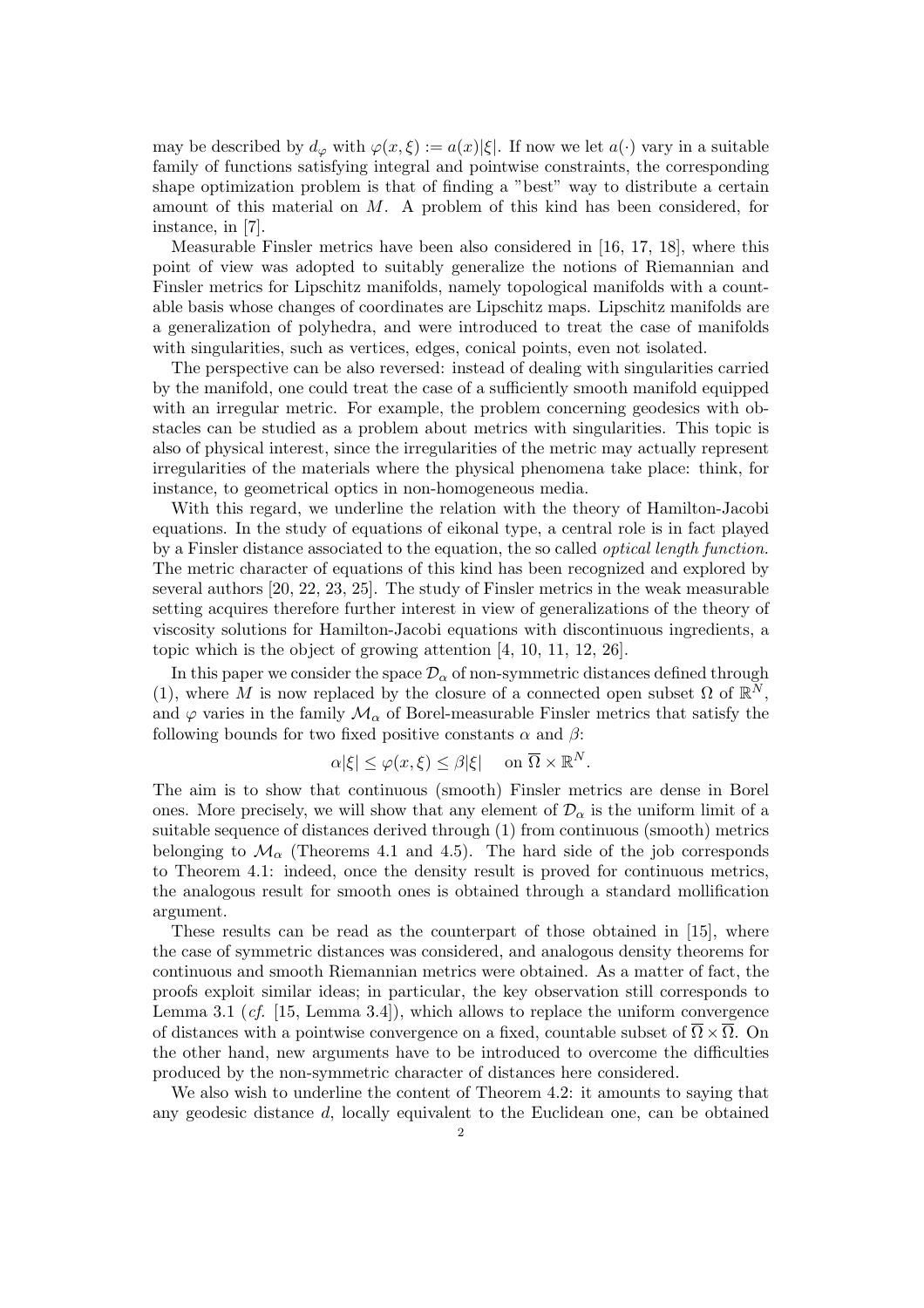may be described by  $d_{\varphi}$  with  $\varphi(x,\xi) := a(x)|\xi|$ . If now we let  $a(\cdot)$  vary in a suitable family of functions satisfying integral and pointwise constraints, the corresponding shape optimization problem is that of finding a "best" way to distribute a certain amount of this material on M. A problem of this kind has been considered, for instance, in [7].

Measurable Finsler metrics have been also considered in [16, 17, 18], where this point of view was adopted to suitably generalize the notions of Riemannian and Finsler metrics for Lipschitz manifolds, namely topological manifolds with a countable basis whose changes of coordinates are Lipschitz maps. Lipschitz manifolds are a generalization of polyhedra, and were introduced to treat the case of manifolds with singularities, such as vertices, edges, conical points, even not isolated.

The perspective can be also reversed: instead of dealing with singularities carried by the manifold, one could treat the case of a sufficiently smooth manifold equipped with an irregular metric. For example, the problem concerning geodesics with obstacles can be studied as a problem about metrics with singularities. This topic is also of physical interest, since the irregularities of the metric may actually represent irregularities of the materials where the physical phenomena take place: think, for instance, to geometrical optics in non-homogeneous media.

With this regard, we underline the relation with the theory of Hamilton-Jacobi equations. In the study of equations of eikonal type, a central role is in fact played by a Finsler distance associated to the equation, the so called optical length function. The metric character of equations of this kind has been recognized and explored by several authors [20, 22, 23, 25]. The study of Finsler metrics in the weak measurable setting acquires therefore further interest in view of generalizations of the theory of viscosity solutions for Hamilton-Jacobi equations with discontinuous ingredients, a topic which is the object of growing attention [4, 10, 11, 12, 26].

In this paper we consider the space  $\mathcal{D}_{\alpha}$  of non-symmetric distances defined through (1), where M is now replaced by the closure of a connected open subset  $\Omega$  of  $\mathbb{R}^N$ , and  $\varphi$  varies in the family  $\mathcal{M}_{\alpha}$  of Borel-measurable Finsler metrics that satisfy the following bounds for two fixed positive constants  $\alpha$  and  $\beta$ :

$$
\alpha|\xi| \le \varphi(x,\xi) \le \beta|\xi| \quad \text{on } \overline{\Omega} \times \mathbb{R}^N.
$$

The aim is to show that continuous (smooth) Finsler metrics are dense in Borel ones. More precisely, we will show that any element of  $\mathcal{D}_{\alpha}$  is the uniform limit of a suitable sequence of distances derived through (1) from continuous (smooth) metrics belonging to  $\mathcal{M}_{\alpha}$  (Theorems 4.1 and 4.5). The hard side of the job corresponds to Theorem 4.1: indeed, once the density result is proved for continuous metrics, the analogous result for smooth ones is obtained through a standard mollification argument.

These results can be read as the counterpart of those obtained in [15], where the case of symmetric distances was considered, and analogous density theorems for continuous and smooth Riemannian metrics were obtained. As a matter of fact, the proofs exploit similar ideas; in particular, the key observation still corresponds to Lemma 3.1 (*cf.* [15, Lemma 3.4]), which allows to replace the uniform convergence of distances with a pointwise convergence on a fixed, countable subset of  $\overline{\Omega} \times \overline{\Omega}$ . On the other hand, new arguments have to be introduced to overcome the difficulties produced by the non-symmetric character of distances here considered.

We also wish to underline the content of Theorem 4.2: it amounts to saying that any geodesic distance d, locally equivalent to the Euclidean one, can be obtained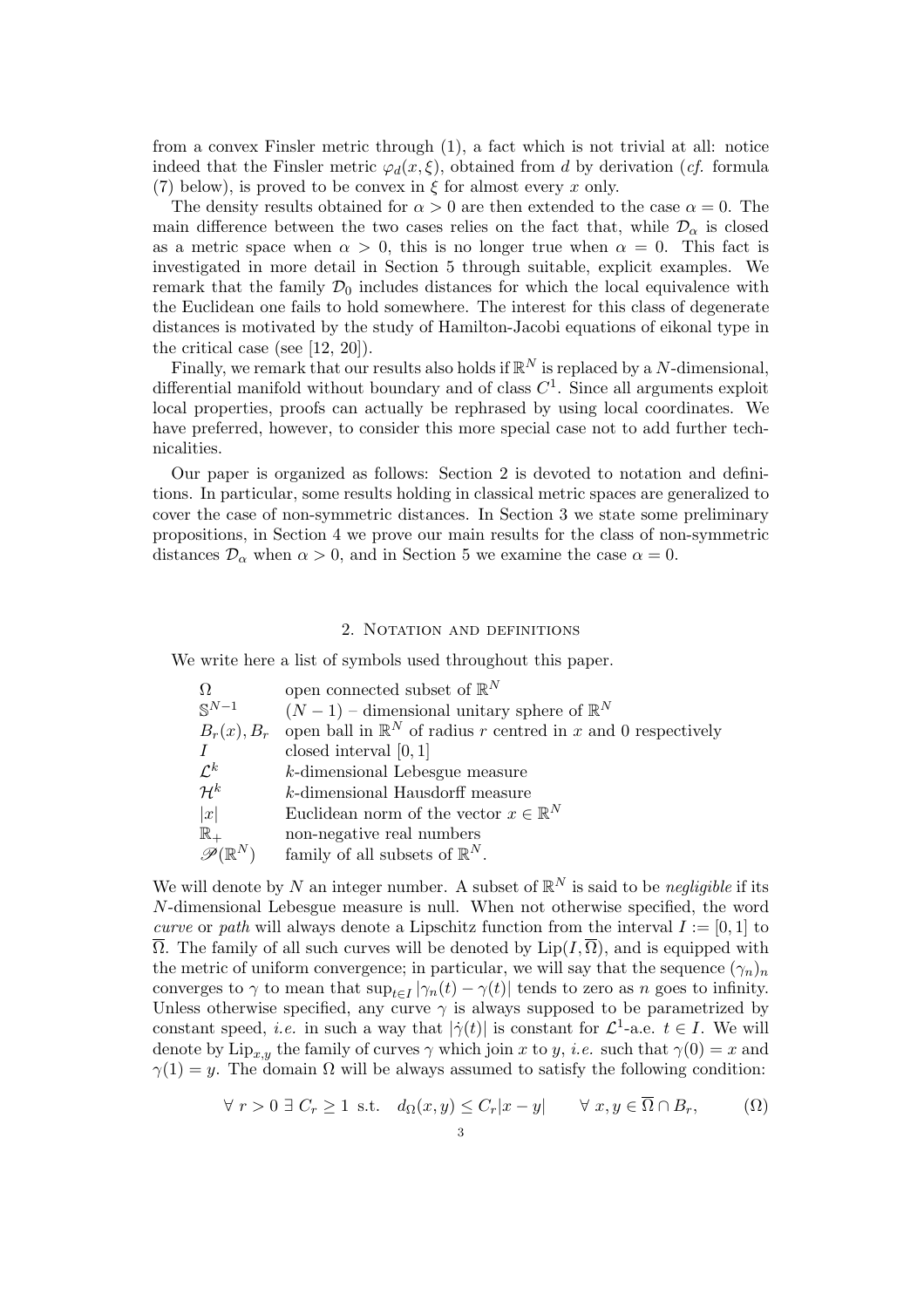from a convex Finsler metric through (1), a fact which is not trivial at all: notice indeed that the Finsler metric  $\varphi_d(x,\xi)$ , obtained from d by derivation (cf. formula (7) below), is proved to be convex in  $\xi$  for almost every x only.

The density results obtained for  $\alpha > 0$  are then extended to the case  $\alpha = 0$ . The main difference between the two cases relies on the fact that, while  $\mathcal{D}_{\alpha}$  is closed as a metric space when  $\alpha > 0$ , this is no longer true when  $\alpha = 0$ . This fact is investigated in more detail in Section 5 through suitable, explicit examples. We remark that the family  $\mathcal{D}_0$  includes distances for which the local equivalence with the Euclidean one fails to hold somewhere. The interest for this class of degenerate distances is motivated by the study of Hamilton-Jacobi equations of eikonal type in the critical case (see [12, 20]).

Finally, we remark that our results also holds if  $\mathbb{R}^N$  is replaced by a N-dimensional, differential manifold without boundary and of class  $C<sup>1</sup>$ . Since all arguments exploit local properties, proofs can actually be rephrased by using local coordinates. We have preferred, however, to consider this more special case not to add further technicalities.

Our paper is organized as follows: Section 2 is devoted to notation and definitions. In particular, some results holding in classical metric spaces are generalized to cover the case of non-symmetric distances. In Section 3 we state some preliminary propositions, in Section 4 we prove our main results for the class of non-symmetric distances  $\mathcal{D}_{\alpha}$  when  $\alpha > 0$ , and in Section 5 we examine the case  $\alpha = 0$ .

# 2. NOTATION AND DEFINITIONS

We write here a list of symbols used throughout this paper.

| $\Omega$                    | open connected subset of $\mathbb{R}^N$                                 |
|-----------------------------|-------------------------------------------------------------------------|
| $S^{N-1}$                   | $(N-1)$ – dimensional unitary sphere of $\mathbb{R}^N$                  |
| $B_r(x), B_r$               | open ball in $\mathbb{R}^N$ of radius r centred in x and 0 respectively |
| $\overline{I}$              | closed interval $[0,1]$                                                 |
| $\mathcal{L}^k$             | $k$ -dimensional Lebesgue measure                                       |
| $\mathcal{H}^k$             | k-dimensional Hausdorff measure                                         |
| x                           | Euclidean norm of the vector $x \in \mathbb{R}^N$                       |
| $\mathbb{R}_+$              | non-negative real numbers                                               |
| $\mathscr{P}(\mathbb{R}^N)$ | family of all subsets of $\mathbb{R}^N$ .                               |

We will denote by N an integer number. A subset of  $\mathbb{R}^N$  is said to be negligible if its N-dimensional Lebesgue measure is null. When not otherwise specified, the word curve or path will always denote a Lipschitz function from the interval  $I := [0, 1]$  to  $\overline{\Omega}$ . The family of all such curves will be denoted by  $\text{Lip}(I,\overline{\Omega})$ , and is equipped with the metric of uniform convergence; in particular, we will say that the sequence  $(\gamma_n)_n$ converges to  $\gamma$  to mean that  $\sup_{t\in I} |\gamma_n(t) - \gamma(t)|$  tends to zero as n goes to infinity. Unless otherwise specified, any curve  $\gamma$  is always supposed to be parametrized by constant speed, *i.e.* in such a way that  $|\dot{\gamma}(t)|$  is constant for  $\mathcal{L}^1$ -a.e.  $t \in I$ . We will denote by  $\text{Lip}_{x,y}$  the family of curves  $\gamma$  which join x to y, *i.e.* such that  $\gamma(0) = x$  and  $\gamma(1) = y$ . The domain  $\Omega$  will be always assumed to satisfy the following condition:

$$
\forall r > 0 \ \exists \ C_r \ge 1 \ \text{ s.t.} \quad d_{\Omega}(x, y) \le C_r |x - y| \qquad \forall \ x, y \in \overline{\Omega} \cap B_r, \tag{ \Omega}
$$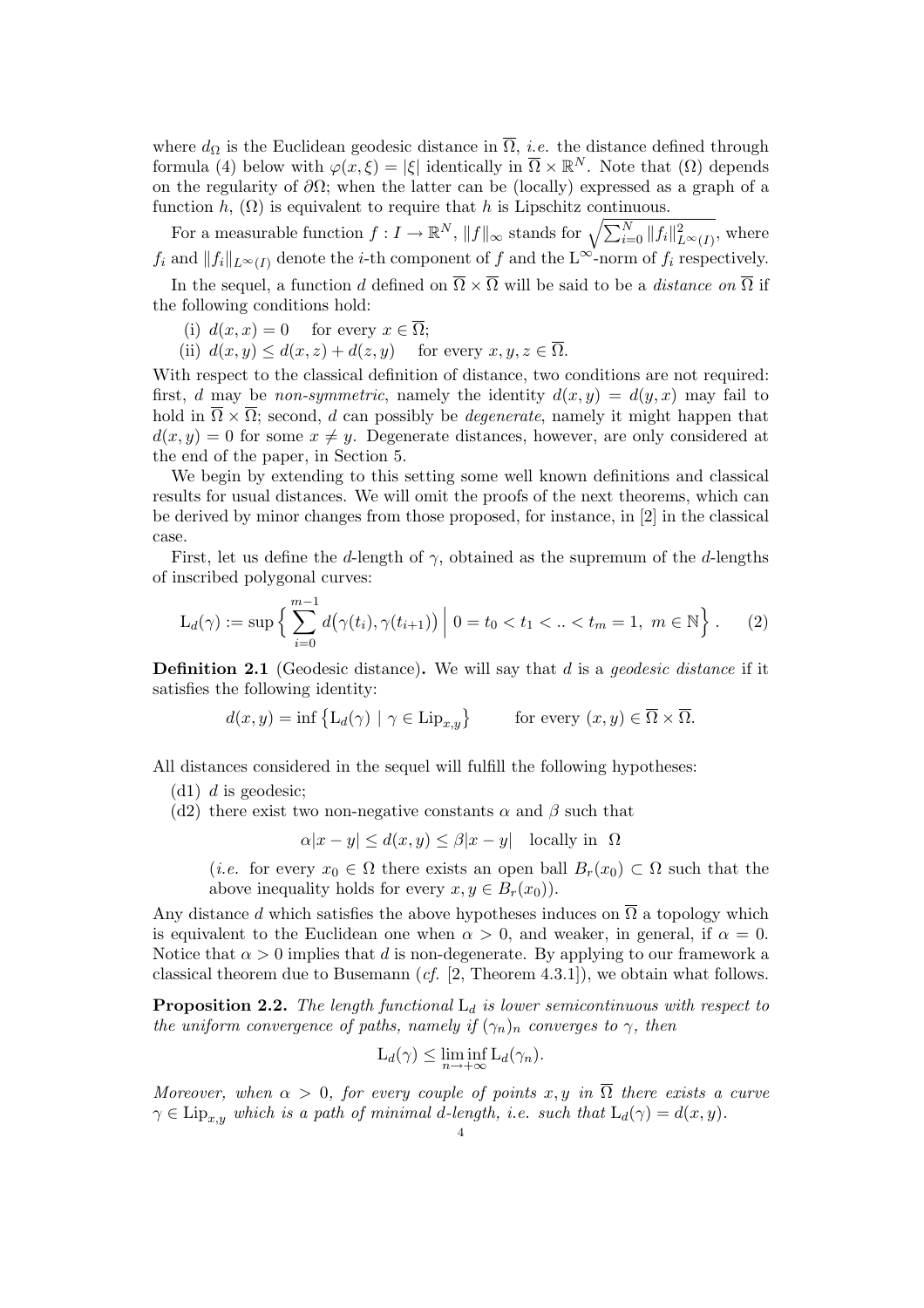where  $d_{\Omega}$  is the Euclidean geodesic distance in  $\overline{\Omega}$ , *i.e.* the distance defined through formula (4) below with  $\varphi(x,\xi) = |\xi|$  identically in  $\overline{\Omega} \times \mathbb{R}^N$ . Note that  $(\Omega)$  depends on the regularity of  $\partial\Omega$ ; when the latter can be (locally) expressed as a graph of a function h,  $(\Omega)$  is equivalent to require that h is Lipschitz continuous.

For a measurable function  $f: I \to \mathbb{R}^N$ ,  $||f||_{\infty}$  stands for  $\sqrt{\sum_{i=0}^N ||f_i||_{L^{\infty}(I)}^2}$ , where  $f_i$  and  $||f_i||_{L^{\infty}(I)}$  denote the *i*-th component of f and the L<sup>∞</sup>-norm of  $f_i$  respectively.

In the sequel, a function d defined on  $\overline{\Omega} \times \overline{\Omega}$  will be said to be a distance on  $\overline{\Omega}$  if the following conditions hold:

- (i)  $d(x, x) = 0$  for every  $x \in \overline{\Omega}$ ;
- (ii)  $d(x, y) \leq d(x, z) + d(z, y)$  for every  $x, y, z \in \overline{\Omega}$ .

With respect to the classical definition of distance, two conditions are not required: first, d may be non-symmetric, namely the identity  $d(x, y) = d(y, x)$  may fail to hold in  $\overline{\Omega} \times \overline{\Omega}$ ; second, d can possibly be *degenerate*, namely it might happen that  $d(x, y) = 0$  for some  $x \neq y$ . Degenerate distances, however, are only considered at the end of the paper, in Section 5.

We begin by extending to this setting some well known definitions and classical results for usual distances. We will omit the proofs of the next theorems, which can be derived by minor changes from those proposed, for instance, in [2] in the classical case.

First, let us define the d-length of  $\gamma$ , obtained as the supremum of the d-lengths of inscribed polygonal curves:

$$
L_d(\gamma) := \sup \left\{ \sum_{i=0}^{m-1} d(\gamma(t_i), \gamma(t_{i+1})) \middle| 0 = t_0 < t_1 < ... < t_m = 1, m \in \mathbb{N} \right\}.
$$
 (2)

**Definition 2.1** (Geodesic distance). We will say that  $d$  is a *geodesic distance* if it satisfies the following identity:

$$
d(x, y) = \inf \left\{ L_d(\gamma) \mid \gamma \in \text{Lip}_{x, y} \right\} \qquad \text{for every } (x, y) \in \overline{\Omega} \times \overline{\Omega}.
$$

All distances considered in the sequel will fulfill the following hypotheses:

(d1)  $d$  is geodesic;

(d2) there exist two non-negative constants  $\alpha$  and  $\beta$  such that

 $\alpha |x - y| \leq d(x, y) \leq \beta |x - y|$  locally in  $\Omega$ 

(*i.e.* for every  $x_0 \in \Omega$  there exists an open ball  $B_r(x_0) \subset \Omega$  such that the above inequality holds for every  $x, y \in B_r(x_0)$ .

Any distance d which satisfies the above hypotheses induces on  $\overline{\Omega}$  a topology which is equivalent to the Euclidean one when  $\alpha > 0$ , and weaker, in general, if  $\alpha = 0$ . Notice that  $\alpha > 0$  implies that d is non-degenerate. By applying to our framework a classical theorem due to Busemann (*cf.* [2, Theorem 4.3.1]), we obtain what follows.

**Proposition 2.2.** The length functional  $L_d$  is lower semicontinuous with respect to the uniform convergence of paths, namely if  $(\gamma_n)_n$  converges to  $\gamma$ , then

$$
L_d(\gamma) \le \liminf_{n \to +\infty} L_d(\gamma_n).
$$

Moreover, when  $\alpha > 0$ , for every couple of points x, y in  $\overline{\Omega}$  there exists a curve  $\gamma \in \text{Lip}_{x,y}$  which is a path of minimal d-length, i.e. such that  $L_d(\gamma) = d(x, y)$ .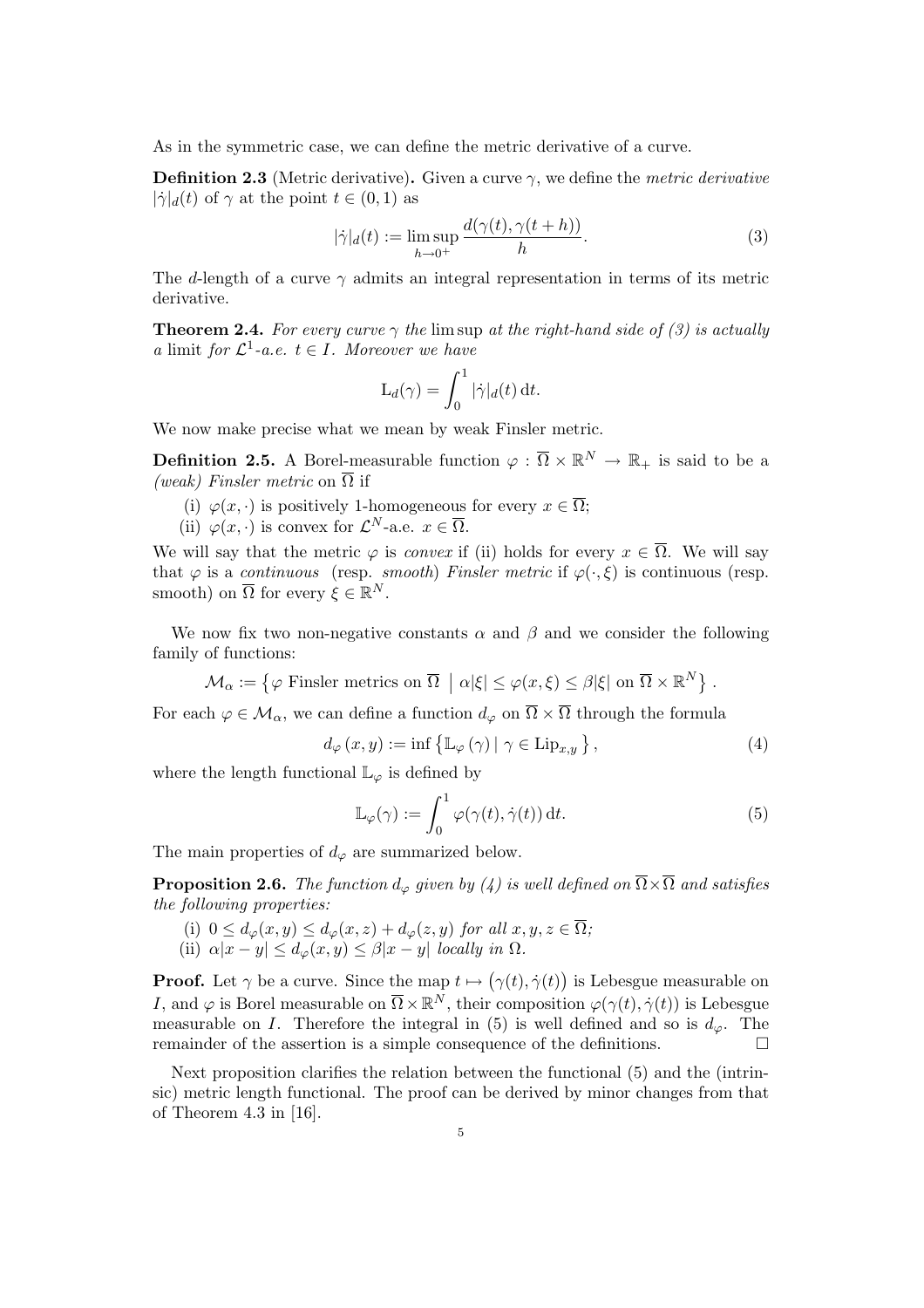As in the symmetric case, we can define the metric derivative of a curve.

**Definition 2.3** (Metric derivative). Given a curve  $\gamma$ , we define the *metric derivative*  $|\dot{\gamma}|_d(t)$  of  $\gamma$  at the point  $t \in (0,1)$  as

$$
|\dot{\gamma}|_d(t) := \limsup_{h \to 0^+} \frac{d(\gamma(t), \gamma(t+h))}{h}.
$$
 (3)

The d-length of a curve  $\gamma$  admits an integral representation in terms of its metric derivative.

**Theorem 2.4.** For every curve  $\gamma$  the lim sup at the right-hand side of (3) is actually a limit for  $\mathcal{L}^1$ -a.e.  $t \in I$ . Moreover we have

$$
\mathcal{L}_d(\gamma) = \int_0^1 |\dot{\gamma}|_d(t) dt.
$$

We now make precise what we mean by weak Finsler metric.

**Definition 2.5.** A Borel-measurable function  $\varphi : \overline{\Omega} \times \mathbb{R}^N \to \mathbb{R}_+$  is said to be a (weak) Finsler metric on  $\overline{\Omega}$  if

- (i)  $\varphi(x, \cdot)$  is positively 1-homogeneous for every  $x \in \overline{\Omega}$ ;
- (ii)  $\varphi(x, \cdot)$  is convex for  $\mathcal{L}^N$ -a.e.  $x \in \overline{\Omega}$ .

We will say that the metric  $\varphi$  is *convex* if (ii) holds for every  $x \in \overline{\Omega}$ . We will say that  $\varphi$  is a continuous (resp. smooth) Finsler metric if  $\varphi(\cdot,\xi)$  is continuous (resp. smooth) on  $\overline{\Omega}$  for every  $\xi \in \mathbb{R}^N$ .

We now fix two non-negative constants  $\alpha$  and  $\beta$  and we consider the following family of functions:

 $\mathcal{M}_{\alpha} := \{ \varphi \text{ Finsler metrics on } \overline{\Omega} \}$  $| \alpha |\xi| \leq \varphi(x,\xi) \leq \beta |\xi|$  on  $\overline{\Omega} \times \mathbb{R}^N$ .

For each  $\varphi \in \mathcal{M}_{\alpha}$ , we can define a function  $d_{\varphi}$  on  $\overline{\Omega} \times \overline{\Omega}$  through the formula

$$
d_{\varphi}(x, y) := \inf \left\{ \mathbb{L}_{\varphi}(\gamma) \, | \, \gamma \in \text{Lip}_{x, y} \right\},\tag{4}
$$

where the length functional  $\mathbb{L}_{\varphi}$  is defined by

$$
\mathbb{L}_{\varphi}(\gamma) := \int_0^1 \varphi(\gamma(t), \dot{\gamma}(t)) dt.
$$
 (5)

The main properties of  $d_{\varphi}$  are summarized below.

**Proposition 2.6.** The function  $d_{\varphi}$  given by (4) is well defined on  $\overline{\Omega} \times \overline{\Omega}$  and satisfies the following properties:

- (i)  $0 \leq d_{\varphi}(x, y) \leq d_{\varphi}(x, z) + d_{\varphi}(z, y)$  for all  $x, y, z \in \overline{\Omega}$ ;
- (ii)  $\alpha |x y| \leq d_{\varphi}(x, y) \leq \beta |x y|$  locally in  $\Omega$ .

**Proof.** Let  $\gamma$  be a curve. Since the map  $t \mapsto$ ¡  $\gamma(t), \dot{\gamma}(t)$ ¢ is Lebesgue measurable on I, and  $\varphi$  is Borel measurable on  $\overline{\Omega} \times \mathbb{R}^N$ , their composition  $\varphi(\gamma(t), \dot{\gamma}(t))$  is Lebesgue measurable on I. Therefore the integral in (5) is well defined and so is  $d_{\varphi}$ . The remainder of the assertion is a simple consequence of the definitions.  $\Box$ 

Next proposition clarifies the relation between the functional (5) and the (intrinsic) metric length functional. The proof can be derived by minor changes from that of Theorem 4.3 in [16].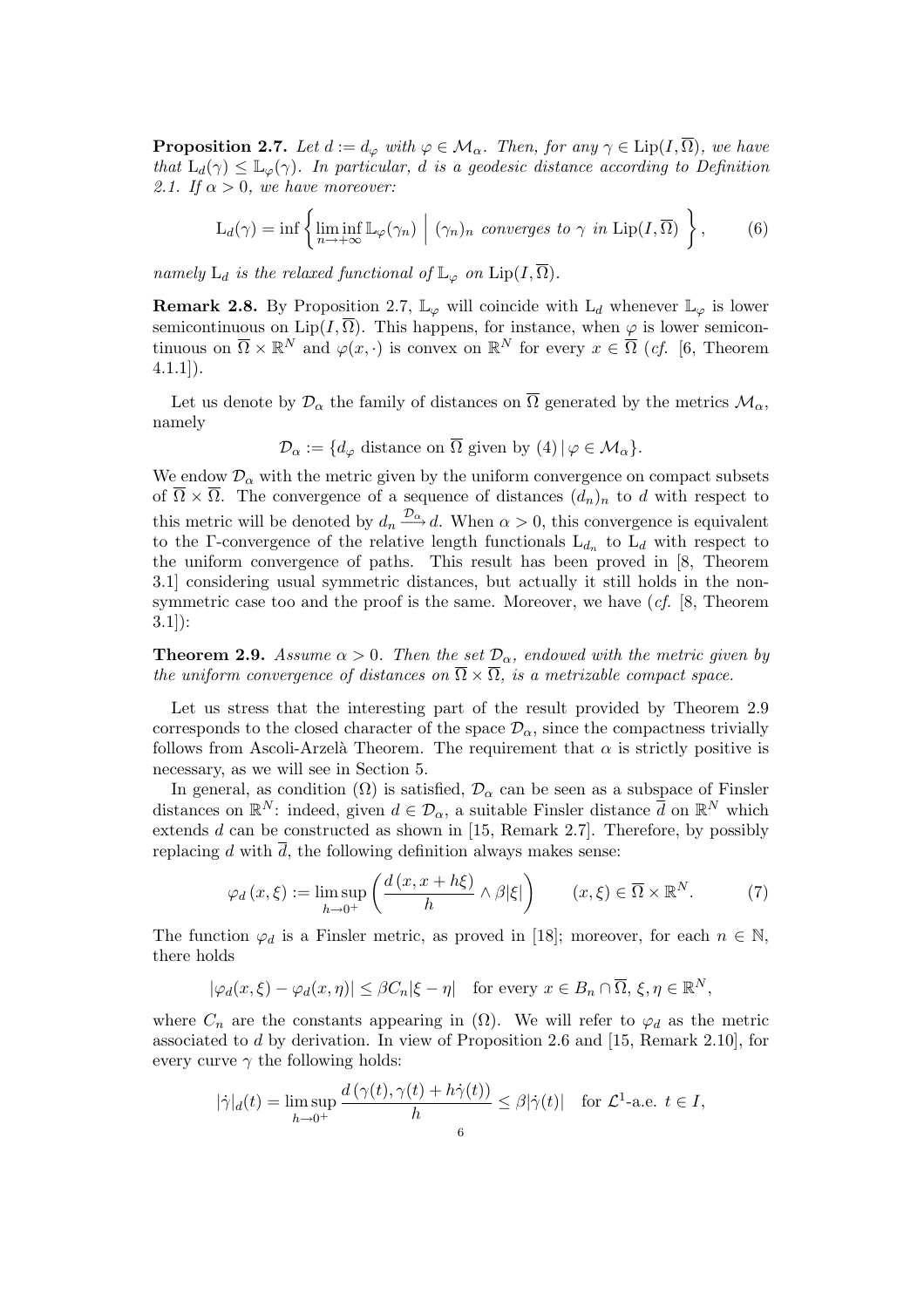**Proposition 2.7.** Let  $d := d_{\varphi}$  with  $\varphi \in \mathcal{M}_{\alpha}$ . Then, for any  $\gamma \in \text{Lip}(I, \overline{\Omega})$ , we have that  $L_d(\gamma) \leq \mathbb{L}_{\varphi}(\gamma)$ . In particular, d is a geodesic distance according to Definition 2.1. If  $\alpha > 0$ , we have moreover:

$$
L_d(\gamma) = \inf \left\{ \liminf_{n \to +\infty} \mathbb{L}_{\varphi}(\gamma_n) \mid (\gamma_n)_n \text{ converges to } \gamma \text{ in } \text{Lip}(I, \overline{\Omega}) \right\},\qquad(6)
$$

namely  $L_d$  is the relaxed functional of  $\mathbb{L}_{\varphi}$  on  $\text{Lip}(I,\overline{\Omega})$ .

**Remark 2.8.** By Proposition 2.7,  $\mathbb{L}_{\varphi}$  will coincide with  $L_d$  whenever  $\mathbb{L}_{\varphi}$  is lower semicontinuous on Lip( $I, \overline{\Omega}$ ). This happens, for instance, when  $\varphi$  is lower semicontinuous on  $\overline{\Omega} \times \mathbb{R}^N$  and  $\varphi(x, \cdot)$  is convex on  $\mathbb{R}^N$  for every  $x \in \overline{\Omega}$  (*cf.* [6, Theorem 4.1.1]).

Let us denote by  $\mathcal{D}_{\alpha}$  the family of distances on  $\overline{\Omega}$  generated by the metrics  $\mathcal{M}_{\alpha}$ , namely

$$
\mathcal{D}_{\alpha} := \{ d_{\varphi} \text{ distance on } \overline{\Omega} \text{ given by (4)} \mid \varphi \in \mathcal{M}_{\alpha} \}.
$$

We endow  $\mathcal{D}_{\alpha}$  with the metric given by the uniform convergence on compact subsets of  $\overline{\Omega} \times \overline{\Omega}$ . The convergence of a sequence of distances  $(d_n)_n$  to d with respect to this metric will be denoted by  $d_n \xrightarrow{\mathcal{D}_{\alpha}} d$ . When  $\alpha > 0$ , this convergence is equivalent to the Γ-convergence of the relative length functionals  $L_{d_n}$  to  $L_d$  with respect to the uniform convergence of paths. This result has been proved in [8, Theorem 3.1] considering usual symmetric distances, but actually it still holds in the nonsymmetric case too and the proof is the same. Moreover, we have  $(cf. [8, Theorem]$ 3.1]):

**Theorem 2.9.** Assume  $\alpha > 0$ . Then the set  $\mathcal{D}_{\alpha}$ , endowed with the metric given by the uniform convergence of distances on  $\overline{\Omega} \times \overline{\Omega}$ , is a metrizable compact space.

Let us stress that the interesting part of the result provided by Theorem 2.9 corresponds to the closed character of the space  $\mathcal{D}_{\alpha}$ , since the compactness trivially follows from Ascoli-Arzelà Theorem. The requirement that  $\alpha$  is strictly positive is necessary, as we will see in Section 5.

In general, as condition  $(\Omega)$  is satisfied,  $\mathcal{D}_{\alpha}$  can be seen as a subspace of Finsler distances on  $\mathbb{R}^N$ : indeed, given  $d \in \mathcal{D}_{\alpha}$ , a suitable Finsler distance  $\overline{d}$  on  $\mathbb{R}^N$  which extends  $d$  can be constructed as shown in [15, Remark 2.7]. Therefore, by possibly replacing d with  $\overline{d}$ , the following definition always makes sense:

$$
\varphi_d(x,\xi) := \limsup_{h \to 0^+} \left( \frac{d(x,x+h\xi)}{h} \wedge \beta |\xi| \right) \qquad (x,\xi) \in \overline{\Omega} \times \mathbb{R}^N. \tag{7}
$$

The function  $\varphi_d$  is a Finsler metric, as proved in [18]; moreover, for each  $n \in \mathbb{N}$ , there holds

$$
|\varphi_d(x,\xi) - \varphi_d(x,\eta)| \le \beta C_n |\xi - \eta| \quad \text{for every } x \in B_n \cap \overline{\Omega}, \xi, \eta \in \mathbb{R}^N,
$$

where  $C_n$  are the constants appearing in  $(\Omega)$ . We will refer to  $\varphi_d$  as the metric associated to d by derivation. In view of Proposition 2.6 and [15, Remark 2.10], for every curve  $\gamma$  the following holds:

$$
|\dot{\gamma}|_d(t) = \limsup_{h \to 0^+} \frac{d(\gamma(t), \gamma(t) + h\dot{\gamma}(t))}{h} \le \beta |\dot{\gamma}(t)| \quad \text{for } \mathcal{L}^1\text{-a.e. } t \in I,
$$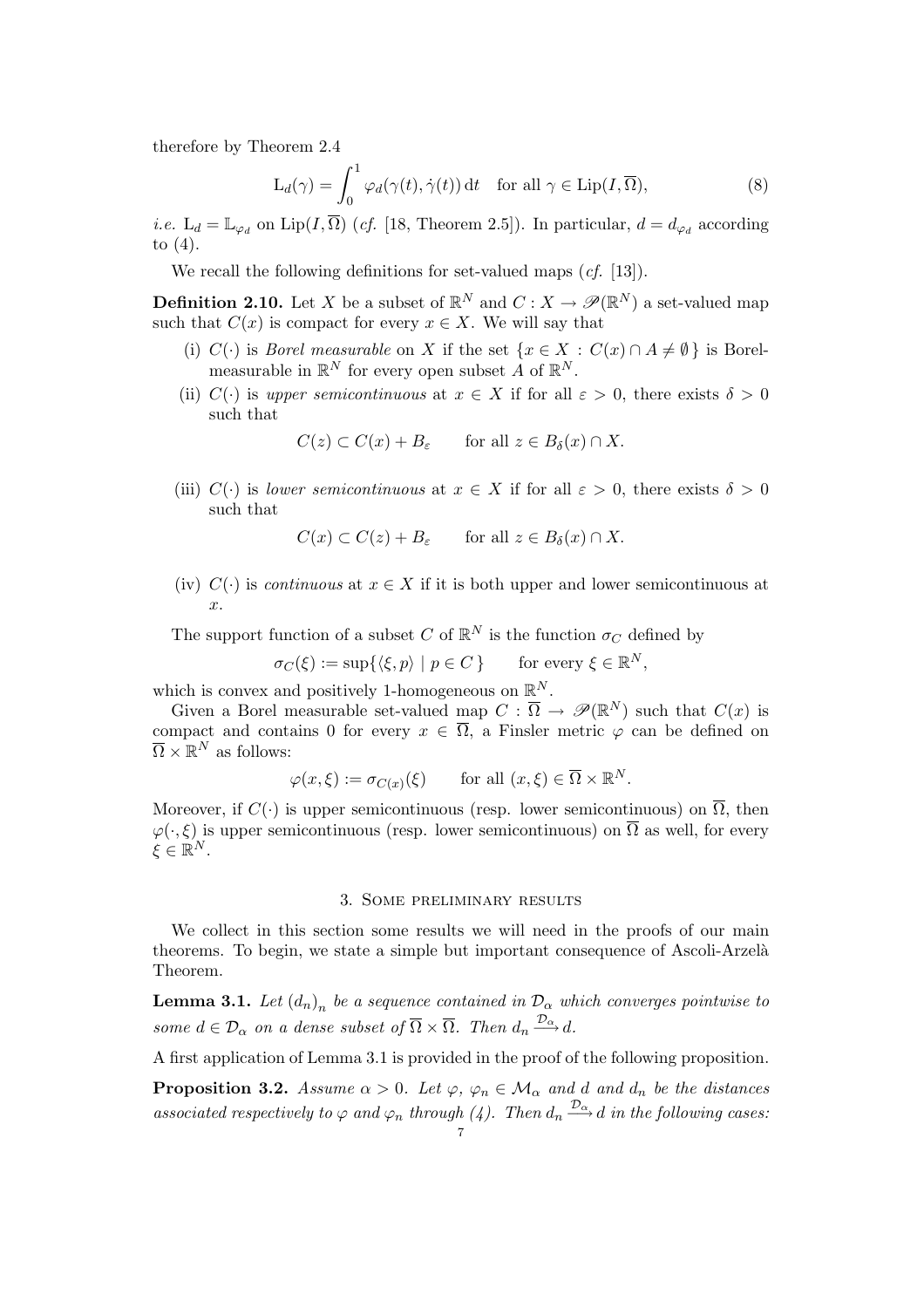therefore by Theorem 2.4

$$
L_d(\gamma) = \int_0^1 \varphi_d(\gamma(t), \dot{\gamma}(t)) dt \quad \text{for all } \gamma \in \text{Lip}(I, \overline{\Omega}),
$$
 (8)

*i.e.*  $L_d = \mathbb{L}_{\varphi_d}$  on  $\text{Lip}(I, \overline{\Omega})$  (*cf.* [18, Theorem 2.5]). In particular,  $d = d_{\varphi_d}$  according to (4).

We recall the following definitions for set-valued maps (*cf.* [13]).

**Definition 2.10.** Let X be a subset of  $\mathbb{R}^N$  and  $C: X \to \mathscr{P}(\mathbb{R}^N)$  a set-valued map such that  $C(x)$  is compact for every  $x \in X$ . We will say that

- (i)  $C(\cdot)$  is *Borel measurable* on X if the set  $\{x \in X : C(x) \cap A \neq \emptyset\}$  is Borelmeasurable in  $\mathbb{R}^N$  for every open subset A of  $\mathbb{R}^N$ .
- (ii) C(·) is upper semicontinuous at  $x \in X$  if for all  $\varepsilon > 0$ , there exists  $\delta > 0$ such that

 $C(z) \subset C(x) + B_{\varepsilon}$  for all  $z \in B_{\delta}(x) \cap X$ .

(iii)  $C(\cdot)$  is lower semicontinuous at  $x \in X$  if for all  $\varepsilon > 0$ , there exists  $\delta > 0$ such that

$$
C(x) \subset C(z) + B_{\varepsilon} \quad \text{for all } z \in B_{\delta}(x) \cap X.
$$

(iv)  $C(\cdot)$  is *continuous* at  $x \in X$  if it is both upper and lower semicontinuous at x.

The support function of a subset C of  $\mathbb{R}^N$  is the function  $\sigma_C$  defined by

 $\sigma_C(\xi) := \sup \{ \langle \xi, p \rangle \mid p \in C \}$  for every  $\xi \in \mathbb{R}^N$ ,

which is convex and positively 1-homogeneous on  $\mathbb{R}^N$ .

Given a Borel measurable set-valued map  $C : \overline{\Omega} \to \mathscr{P}(\mathbb{R}^N)$  such that  $C(x)$  is compact and contains 0 for every  $x \in \overline{\Omega}$ , a Finsler metric  $\varphi$  can be defined on  $\overline{\Omega} \times \mathbb{R}^N$  as follows:

$$
\varphi(x,\xi) := \sigma_{C(x)}(\xi) \quad \text{for all } (x,\xi) \in \overline{\Omega} \times \mathbb{R}^N.
$$

Moreover, if  $C(\cdot)$  is upper semicontinuous (resp. lower semicontinuous) on  $\overline{\Omega}$ , then  $\varphi(\cdot,\xi)$  is upper semicontinuous (resp. lower semicontinuous) on  $\overline{\Omega}$  as well, for every  $\xi \in \mathbb{R}^N.$ 

#### 3. Some preliminary results

We collect in this section some results we will need in the proofs of our main theorems. To begin, we state a simple but important consequence of Ascoli-Arzel`a Theorem.

**Lemma 3.1.** Let  $(d_n)_n$  be a sequence contained in  $\mathcal{D}_{\alpha}$  which converges pointwise to some  $d \in \mathcal{D}_{\alpha}$  on a dense subset of  $\overline{\Omega} \times \overline{\Omega}$ . Then  $d_n \xrightarrow{\mathcal{D}_{\alpha}} d$ .

A first application of Lemma 3.1 is provided in the proof of the following proposition.

**Proposition 3.2.** Assume  $\alpha > 0$ . Let  $\varphi$ ,  $\varphi_n \in \mathcal{M}_{\alpha}$  and d and  $d_n$  be the distances associated respectively to  $\varphi$  and  $\varphi_n$  through (4). Then  $d_n \xrightarrow{\mathcal{D}_{\alpha}} d$  in the following cases: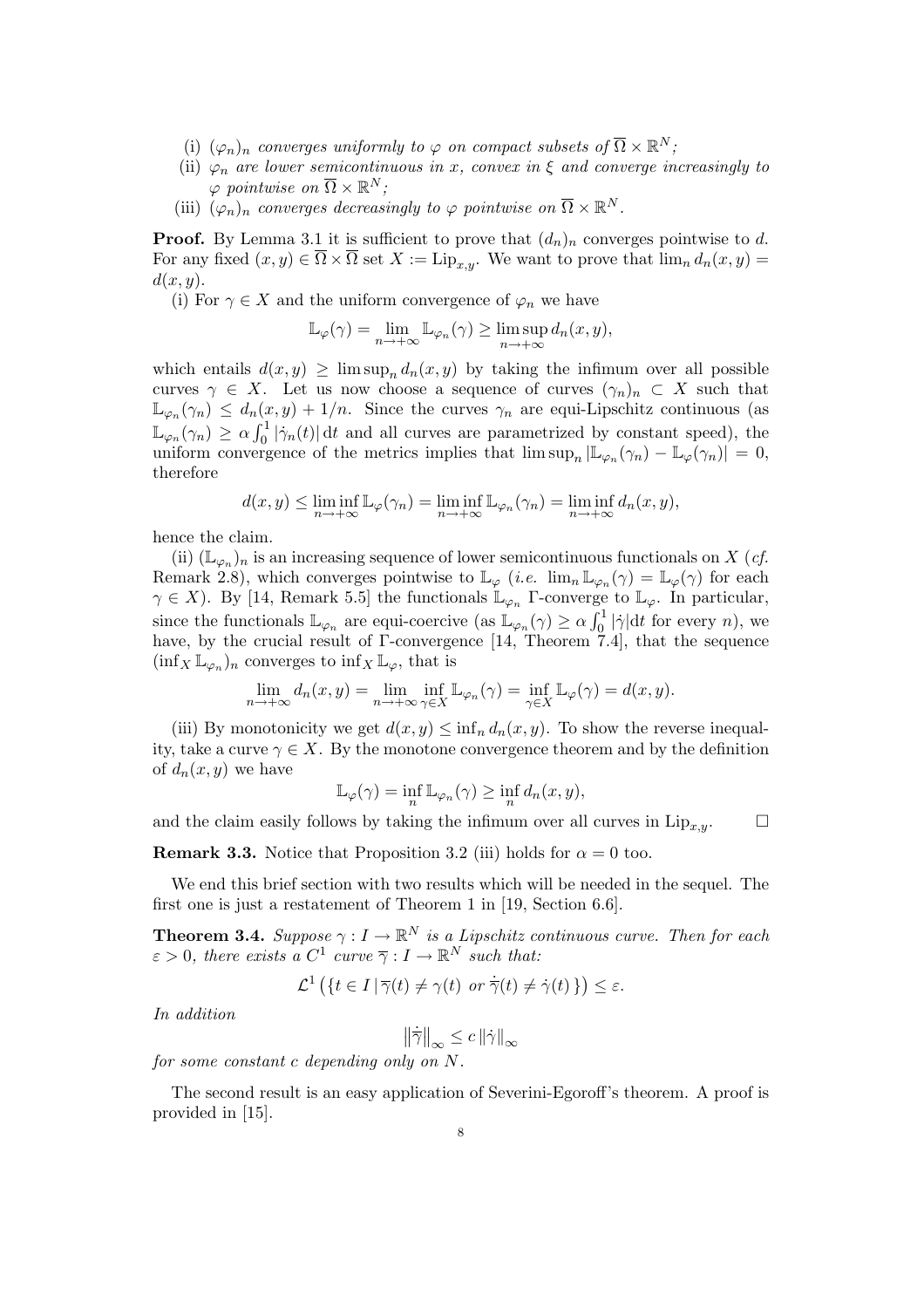- (i)  $(\varphi_n)_n$  converges uniformly to  $\varphi$  on compact subsets of  $\overline{\Omega} \times \mathbb{R}^N$ ;
- (ii)  $\varphi_n$  are lower semicontinuous in x, convex in  $\xi$  and converge increasingly to  $\varphi$  pointwise on  $\overline{\Omega} \times \mathbb{R}^N$ ;
- (iii)  $(\varphi_n)_n$  converges decreasingly to  $\varphi$  pointwise on  $\overline{\Omega} \times \mathbb{R}^N$ .

**Proof.** By Lemma 3.1 it is sufficient to prove that  $(d_n)_n$  converges pointwise to d. For any fixed  $(x, y) \in \overline{\Omega} \times \overline{\Omega}$  set  $X := \text{Lip}_{x,y}$ . We want to prove that  $\lim_{n} d_n(x, y) =$  $d(x, y)$ .

(i) For  $\gamma \in X$  and the uniform convergence of  $\varphi_n$  we have

$$
\mathbb{L}_{\varphi}(\gamma) = \lim_{n \to +\infty} \mathbb{L}_{\varphi_n}(\gamma) \ge \limsup_{n \to +\infty} d_n(x, y),
$$

which entails  $d(x, y) \ge \limsup_n d_n(x, y)$  by taking the infimum over all possible curves  $\gamma \in X$ . Let us now choose a sequence of curves  $(\gamma_n)_n \subset X$  such that  $\mathbb{L}_{\varphi_n}(\gamma_n) \leq d_n(x,y) + 1/n$ . Since the curves  $\gamma_n$  are equi-Lipschitz continuous (as  $\mathbb{L}_{\varphi_n}(\gamma_n) \geq \alpha_n \mathbb{L}_{\varphi_n}(\gamma_n) \geq \alpha \int_0^1$  $\int_0^1 |\dot{\gamma}_n(t)| dt$  and all curves are parametrized by constant speed), the uniform convergence of the metrics implies that  $\limsup_n |\mathbb{L}_{\varphi_n}(\gamma_n) - \mathbb{L}_{\varphi}(\gamma_n)| = 0$ , therefore

$$
d(x,y) \leq \liminf_{n \to +\infty} \mathbb{L}_{\varphi}(\gamma_n) = \liminf_{n \to +\infty} \mathbb{L}_{\varphi_n}(\gamma_n) = \liminf_{n \to +\infty} d_n(x,y),
$$

hence the claim.

(ii)  $(\mathbb{L}_{\varphi_n})_n$  is an increasing sequence of lower semicontinuous functionals on X (*cf.* Remark 2.8), which converges pointwise to  $\mathbb{L}_{\varphi}$  (*i.e.*  $\lim_{n} \mathbb{L}_{\varphi_n}(\gamma) = \mathbb{L}_{\varphi}(\gamma)$  for each  $\gamma \in X$ ). By [14, Remark 5.5] the functionals  $\mathbb{L}_{\varphi_n}$  Γ-converge to  $\mathbb{L}_{\varphi}$ . In particular, since the functionals  $\mathbb{L}_{\varphi_n}$  are equi-coercive (as  $\mathbb{L}_{\varphi_n}(\gamma) \ge \alpha \int_0^1$  $\int_0^1 |\dot{\gamma}| dt$  for every *n*), we have, by the crucial result of  $\Gamma$ -convergence [14, Theorem 7.4], that the sequence  $(\inf_X \mathbb{L}_{\varphi_n})_n$  converges to  $\inf_X \mathbb{L}_{\varphi}$ , that is

$$
\lim_{n \to +\infty} d_n(x, y) = \lim_{n \to +\infty} \inf_{\gamma \in X} \mathbb{L}_{\varphi_n}(\gamma) = \inf_{\gamma \in X} \mathbb{L}_{\varphi}(\gamma) = d(x, y).
$$

(iii) By monotonicity we get  $d(x, y) \leq \inf_n d_n(x, y)$ . To show the reverse inequality, take a curve  $\gamma \in X$ . By the monotone convergence theorem and by the definition of  $d_n(x, y)$  we have

$$
\mathbb{L}_{\varphi}(\gamma) = \inf_{n} \mathbb{L}_{\varphi_n}(\gamma) \ge \inf_{n} d_n(x, y),
$$

and the claim easily follows by taking the infimum over all curves in  $\text{Lip}_{x,y}$ .  $\Box$ 

**Remark 3.3.** Notice that Proposition 3.2 (iii) holds for  $\alpha = 0$  too.

We end this brief section with two results which will be needed in the sequel. The first one is just a restatement of Theorem 1 in [19, Section 6.6].

**Theorem 3.4.** Suppose  $\gamma: I \to \mathbb{R}^N$  is a Lipschitz continuous curve. Then for each  $\varepsilon > 0$ , there exists a  $C^1$  curve  $\overline{\gamma}: I \to \mathbb{R}^N$  such that:

$$
\mathcal{L}^1\left(\left\{t\in I \,|\, \overline{\gamma}(t)\neq \gamma(t) \text{ or } \dot{\overline{\gamma}}(t)\neq \dot{\gamma}(t)\,\right\}\right) \leq \varepsilon.
$$

In addition

 $\left\|\dot{\overline{\gamma}}\right\|_{\infty} \leq c \left\|\dot{\gamma}\right\|_{\infty}$ for some constant c depending only on N.

The second result is an easy application of Severini-Egoroff's theorem. A proof is provided in [15].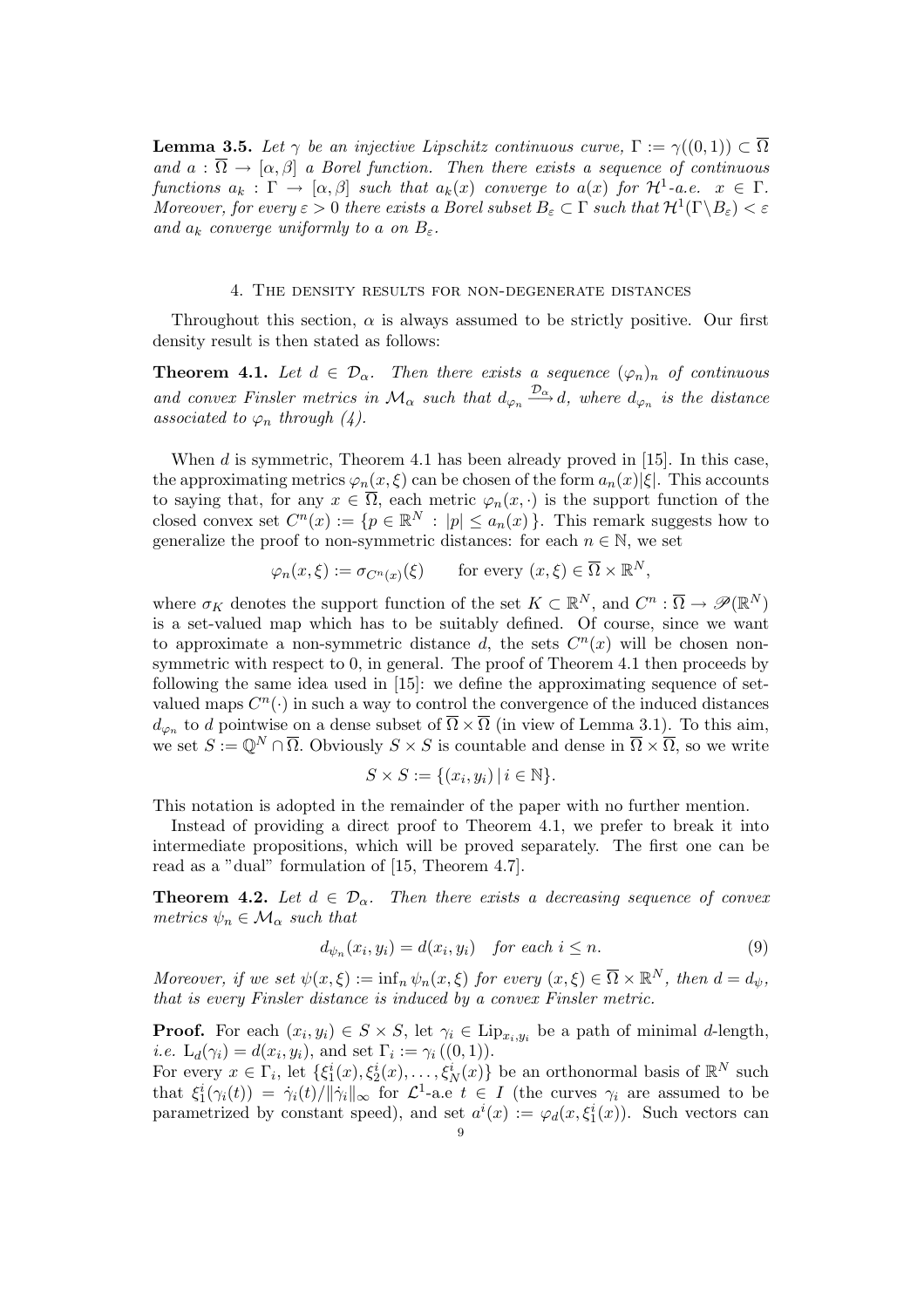**Lemma 3.5.** Let  $\gamma$  be an injective Lipschitz continuous curve,  $\Gamma := \gamma((0,1)) \subset \overline{\Omega}$ and  $a : \overline{\Omega} \to [\alpha, \beta]$  a Borel function. Then there exists a sequence of continuous functions  $a_k : \Gamma \to [\alpha, \beta]$  such that  $a_k(x)$  converge to  $a(x)$  for  $\mathcal{H}^1$ -a.e.  $x \in \Gamma$ . Moreover, for every  $\varepsilon > 0$  there exists a Borel subset  $B_{\varepsilon} \subset \Gamma$  such that  $\mathcal{H}^1(\Gamma \backslash B_{\varepsilon}) < \varepsilon$ and  $a_k$  converge uniformly to a on  $B_\varepsilon$ .

### 4. The density results for non-degenerate distances

Throughout this section,  $\alpha$  is always assumed to be strictly positive. Our first density result is then stated as follows:

**Theorem 4.1.** Let  $d \in \mathcal{D}_{\alpha}$ . Then there exists a sequence  $(\varphi_n)_n$  of continuous and convex Finsler metrics in  $\mathcal{M}_{\alpha}$  such that  $d_{\varphi_n} \stackrel{\mathcal{D}_{\alpha}}{\longrightarrow} d$ , where  $d_{\varphi_n}$  is the distance associated to  $\varphi_n$  through (4).

When  $d$  is symmetric, Theorem 4.1 has been already proved in [15]. In this case, the approximating metrics  $\varphi_n(x,\xi)$  can be chosen of the form  $a_n(x)|\xi|$ . This accounts to saying that, for any  $x \in \overline{\Omega}$ , each metric  $\varphi_n(x, \cdot)$  is the support function of the closed convex set  $C^n(x) := \{p \in \mathbb{R}^N : |p| \le a_n(x)\}\.$  This remark suggests how to generalize the proof to non-symmetric distances: for each  $n \in \mathbb{N}$ , we set

$$
\varphi_n(x,\xi) := \sigma_{C^n(x)}(\xi)
$$
 for every  $(x,\xi) \in \overline{\Omega} \times \mathbb{R}^N$ ,

where  $\sigma_K$  denotes the support function of the set  $K \subset \mathbb{R}^N$ , and  $C^n : \overline{\Omega} \to \mathscr{P}(\mathbb{R}^N)$ is a set-valued map which has to be suitably defined. Of course, since we want to approximate a non-symmetric distance d, the sets  $C<sup>n</sup>(x)$  will be chosen nonsymmetric with respect to 0, in general. The proof of Theorem 4.1 then proceeds by following the same idea used in [15]: we define the approximating sequence of setvalued maps  $C^n(\cdot)$  in such a way to control the convergence of the induced distances  $d_{\varphi_n}$  to d pointwise on a dense subset of  $\overline{\Omega} \times \overline{\Omega}$  (in view of Lemma 3.1). To this aim, we set  $S := \mathbb{Q}^N \cap \overline{\Omega}$ . Obviously  $S \times S$  is countable and dense in  $\overline{\Omega} \times \overline{\Omega}$ , so we write

$$
S \times S := \{ (x_i, y_i) \mid i \in \mathbb{N} \}.
$$

This notation is adopted in the remainder of the paper with no further mention.

Instead of providing a direct proof to Theorem 4.1, we prefer to break it into intermediate propositions, which will be proved separately. The first one can be read as a "dual" formulation of [15, Theorem 4.7].

**Theorem 4.2.** Let  $d \in \mathcal{D}_{\alpha}$ . Then there exists a decreasing sequence of convex metrics  $\psi_n \in \mathcal{M}_{\alpha}$  such that

$$
d_{\psi_n}(x_i, y_i) = d(x_i, y_i) \quad \text{for each } i \le n. \tag{9}
$$

Moreover, if we set  $\psi(x,\xi) := \inf_n \psi_n(x,\xi)$  for every  $(x,\xi) \in \overline{\Omega} \times \mathbb{R}^N$ , then  $d = d_{\psi}$ , that is every Finsler distance is induced by a convex Finsler metric.

**Proof.** For each  $(x_i, y_i) \in S \times S$ , let  $\gamma_i \in \text{Lip}_{x_i, y_i}$  be a path of minimal d-length, *i.e.*  $L_d(\gamma_i) = d(x_i, y_i)$ , and set  $\Gamma_i := \gamma_i((0, 1)).$ 

For every  $x \in \Gamma_i$ , let  $\{\xi_1^i(x), \xi_2^i(x), \ldots, \xi_N^i(x)\}\)$  be an orthonormal basis of  $\mathbb{R}^N$  such that  $\xi_1^i(\gamma_i(t)) = \dot{\gamma}_i(t)/\|\dot{\gamma}_i\|_{\infty}$  for  $\mathcal{L}^1$ -a.e  $t \in I$  (the curves  $\gamma_i$  are assumed to be parametrized by constant speed), and set  $a^i(x) := \varphi_d(x, \xi_1^i(x))$ . Such vectors can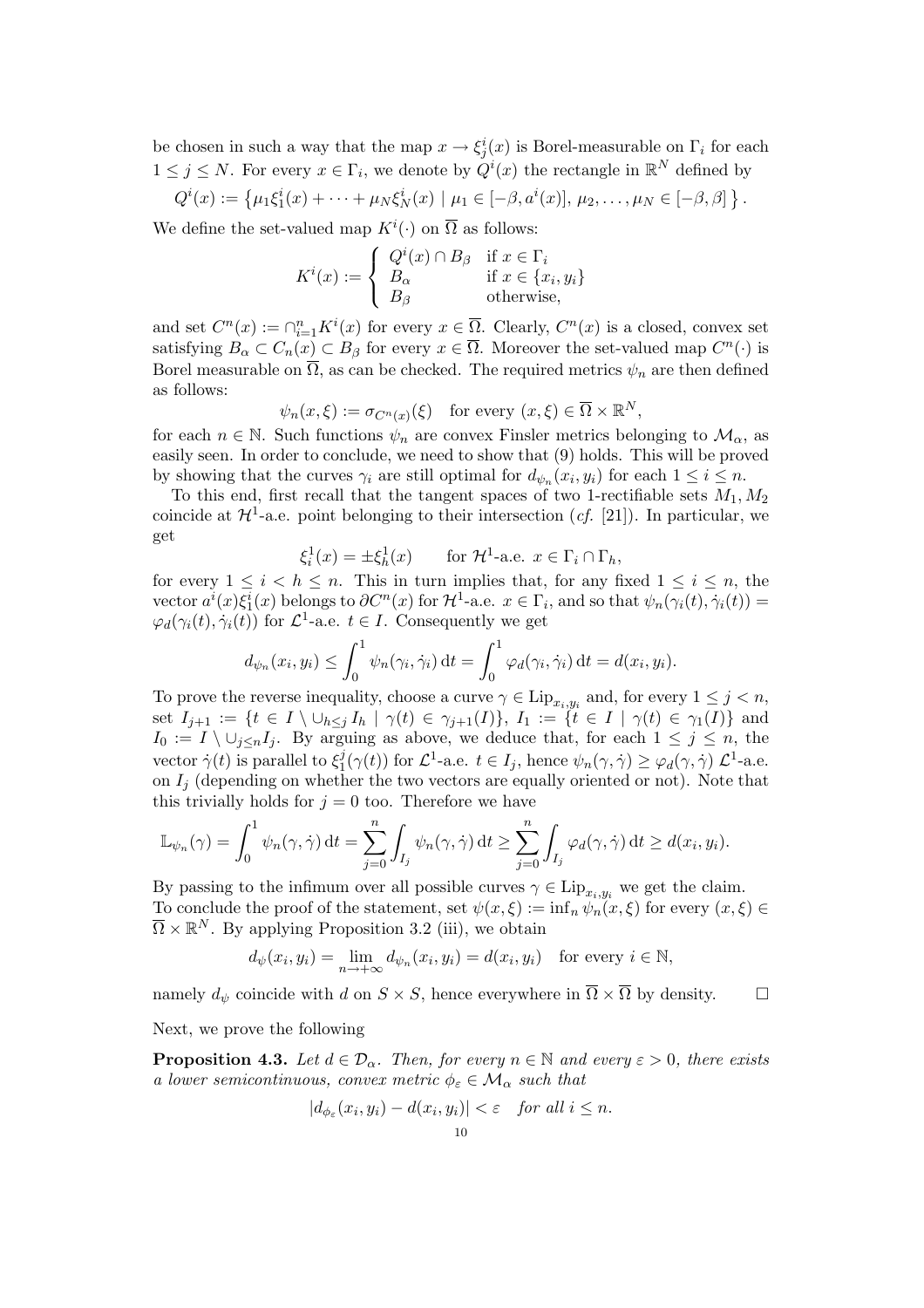be chosen in such a way that the map  $x \to \xi_j^i(x)$  is Borel-measurable on  $\Gamma_i$  for each  $1 \leq j \leq N$ . For every  $x \in \Gamma_i$ , we denote by  $Q^i(x)$  the rectangle in  $\mathbb{R}^N$  defined by

$$
Q^{i}(x) := \{ \mu_1 \xi_1^{i}(x) + \cdots + \mu_N \xi_N^{i}(x) \mid \mu_1 \in [-\beta, a^{i}(x)], \mu_2, \ldots, \mu_N \in [-\beta, \beta] \}.
$$

We define the set-valued map  $K^i(\cdot)$  on  $\overline{\Omega}$  as follows:  $\overline{\phantom{a}}$ 

$$
K^{i}(x) := \begin{cases} Q^{i}(x) \cap B_{\beta} & \text{if } x \in \Gamma_{i} \\ B_{\alpha} & \text{if } x \in \{x_{i}, y_{i}\} \\ B_{\beta} & \text{otherwise,} \end{cases}
$$

and set  $C^n(x) := \bigcap_{i=1}^n K^i(x)$  for every  $x \in \overline{\Omega}$ . Clearly,  $C^n(x)$  is a closed, convex set satisfying  $B_\alpha \subset C_n(x) \subset B_\beta$  for every  $x \in \overline{\Omega}$ . Moreover the set-valued map  $C^n(\cdot)$  is Borel measurable on  $\overline{\Omega}$ , as can be checked. The required metrics  $\psi_n$  are then defined as follows:

$$
\psi_n(x,\xi) := \sigma_{C^n(x)}(\xi) \quad \text{for every } (x,\xi) \in \overline{\Omega} \times \mathbb{R}^N,
$$

for each  $n \in \mathbb{N}$ . Such functions  $\psi_n$  are convex Finsler metrics belonging to  $\mathcal{M}_{\alpha}$ , as easily seen. In order to conclude, we need to show that (9) holds. This will be proved by showing that the curves  $\gamma_i$  are still optimal for  $d_{\psi_n}(x_i, y_i)$  for each  $1 \leq i \leq n$ .

To this end, first recall that the tangent spaces of two 1-rectifiable sets  $M_1, M_2$ coincide at  $\mathcal{H}^1$ -a.e. point belonging to their intersection (*cf.* [21]). In particular, we get

$$
\xi_i^1(x) = \pm \xi_h^1(x) \qquad \text{for } \mathcal{H}^1\text{-a.e. } x \in \Gamma_i \cap \Gamma_h,
$$

for every  $1 \leq i \leq h \leq n$ . This in turn implies that, for any fixed  $1 \leq i \leq n$ , the vector  $a^i(x)\xi_1^i(x)$  belongs to  $\partial C^n(x)$  for  $\mathcal{H}^1$ -a.e.  $x \in \Gamma_i$ , and so that  $\psi_n(\gamma_i(t), \dot{\gamma}_i(t)) =$  $\varphi_d(\gamma_i(t), \dot{\gamma}_i(t))$  for  $\mathcal{L}^1$ -a.e.  $t \in I$ . Consequently we get

$$
d_{\psi_n}(x_i, y_i) \leq \int_0^1 \psi_n(\gamma_i, \dot{\gamma}_i) dt = \int_0^1 \varphi_d(\gamma_i, \dot{\gamma}_i) dt = d(x_i, y_i).
$$

To prove the reverse inequality, choose a curve  $\gamma \in \text{Lip}_{x_i,y_i}$  and, for every  $1 \leq j \leq n$ , set  $I_{j+1} := \{t \in I \setminus \cup_{h \leq j} I_h \mid \gamma(t) \in \gamma_{j+1}(I)\}, I_1 := \{t \in I \mid \gamma(t) \in \gamma_1(I)\}\$ and  $I_0 := I \setminus \cup_{j \leq n} I_j$ . By arguing as above, we deduce that, for each  $1 \leq j \leq n$ , the vector  $\dot{\gamma}(t)$  is parallel to  $\xi_1^j$  $j(\gamma(t))$  for  $\mathcal{L}^1$ -a.e.  $t \in I_j$ , hence  $\psi_n(\gamma, \dot{\gamma}) \geq \varphi_d(\gamma, \dot{\gamma}) \mathcal{L}^1$ -a.e. on  $I_i$  (depending on whether the two vectors are equally oriented or not). Note that this trivially holds for  $j = 0$  too. Therefore we have

$$
\mathbb{L}_{\psi_n}(\gamma) = \int_0^1 \psi_n(\gamma, \dot{\gamma}) dt = \sum_{j=0}^n \int_{I_j} \psi_n(\gamma, \dot{\gamma}) dt \ge \sum_{j=0}^n \int_{I_j} \varphi_d(\gamma, \dot{\gamma}) dt \ge d(x_i, y_i).
$$

By passing to the infimum over all possible curves  $\gamma \in \text{Lip}_{x_i,y_i}$  we get the claim. To conclude the proof of the statement, set  $\psi(x,\xi) := \inf_n \psi_n(x,\xi)$  for every  $(x,\xi) \in$  $\overline{\Omega} \times \mathbb{R}^N$ . By applying Proposition 3.2 (iii), we obtain

$$
d_{\psi}(x_i, y_i) = \lim_{n \to +\infty} d_{\psi_n}(x_i, y_i) = d(x_i, y_i) \text{ for every } i \in \mathbb{N},
$$

namely  $d_{\psi}$  coincide with d on  $S \times S$ , hence everywhere in  $\overline{\Omega} \times \overline{\Omega}$  by density.  $\Box$ 

Next, we prove the following

**Proposition 4.3.** Let  $d \in \mathcal{D}_{\alpha}$ . Then, for every  $n \in \mathbb{N}$  and every  $\varepsilon > 0$ , there exists a lower semicontinuous, convex metric  $\phi_{\varepsilon} \in \mathcal{M}_{\alpha}$  such that

$$
|d_{\phi_{\varepsilon}}(x_i, y_i) - d(x_i, y_i)| < \varepsilon \quad \text{for all } i \leq n.
$$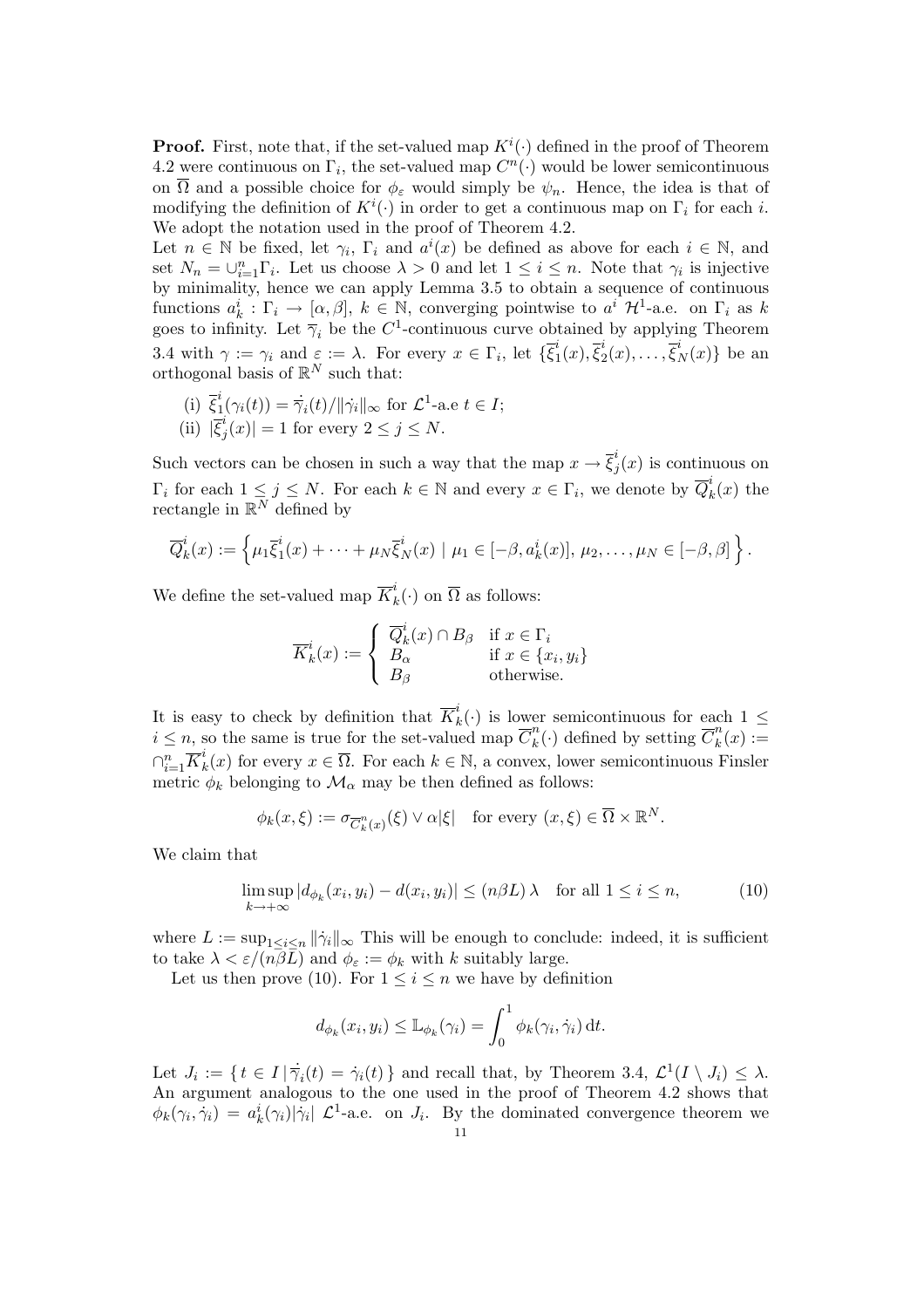**Proof.** First, note that, if the set-valued map  $K^{i}(\cdot)$  defined in the proof of Theorem 4.2 were continuous on  $\Gamma_i$ , the set-valued map  $C^n(\cdot)$  would be lower semicontinuous on  $\overline{\Omega}$  and a possible choice for  $\phi_{\varepsilon}$  would simply be  $\psi_n$ . Hence, the idea is that of modifying the definition of  $K^i(\cdot)$  in order to get a continuous map on  $\Gamma_i$  for each i. We adopt the notation used in the proof of Theorem 4.2.

Let  $n \in \mathbb{N}$  be fixed, let  $\gamma_i$ ,  $\Gamma_i$  and  $a^i(x)$  be defined as above for each  $i \in \mathbb{N}$ , and set  $N_n = \bigcup_{i=1}^n \Gamma_i$ . Let us choose  $\lambda > 0$  and let  $1 \leq i \leq n$ . Note that  $\gamma_i$  is injective by minimality, hence we can apply Lemma 3.5 to obtain a sequence of continuous functions  $a_k^i : \Gamma_i \to [\alpha, \beta], k \in \mathbb{N}$ , converging pointwise to  $a^i$  H<sup>1</sup>-a.e. on  $\Gamma_i$  as k goes to infinity. Let  $\overline{\gamma}_i$  be the C<sup>1</sup>-continuous curve obtained by applying Theorem 3.4 with  $\gamma := \gamma_i$  and  $\varepsilon := \lambda$ . For every  $x \in \Gamma_i$ , let  $\{\overline{\xi}_1^i\}$  $_{1}^{i}(x),\overline{\xi}_{2}^{i}% (x)=\frac{\xi_{1}}{\xi_{2}}\left( \xi_{1},\overline{\xi}_{2}\right)$  $\overline{\xi}_2^i(x), \ldots, \overline{\xi}_N^i(x) \}$  be an orthogonal basis of  $\mathbb{R}^N$  such that:

(i) 
$$
\overline{\xi}_1^i(\gamma_i(t)) = \overline{\gamma}_i(t)/\|\dot{\gamma}_i\|_{\infty}
$$
 for  $\mathcal{L}^1$ -a.e  $t \in I$ ;  
(ii)  $|\overline{\xi}_j^i(x)| = 1$  for every  $2 \le j \le N$ .

Such vectors can be chosen in such a way that the map  $x \to \overline{\xi}_i^i$  $j(x)$  is continuous on  $\Gamma_i$  for each  $1 \leq j \leq N$ . For each  $k \in \mathbb{N}$  and every  $x \in \Gamma_i$ , we denote by  $\overline{Q}_k^i$  $\frac{\partial}{\partial k}(x)$  the rectangle in  $\mathbb{R}^N$  defined by

$$
\overline{Q}_k^i(x) := \left\{ \mu_1 \overline{\xi}_1^i(x) + \cdots + \mu_N \overline{\xi}_N^i(x) \mid \mu_1 \in [-\beta, a_k^i(x)], \mu_2, \ldots, \mu_N \in [-\beta, \beta] \right\}.
$$

We define the set-valued map  $\overline{K}_{k}^{i}$  $\overline{k}(\cdot)$  on  $\overline{\Omega}$  as follows:

$$
\overline{K}_k^i(x) := \begin{cases} \overline{Q}_k^i(x) \cap B_\beta & \text{if } x \in \Gamma_i \\ B_\alpha & \text{if } x \in \{x_i, y_i\} \\ B_\beta & \text{otherwise.} \end{cases}
$$

It is easy to check by definition that  $\overline{K}_k^i$  $\kappa_k^i(\cdot)$  is lower semicontinuous for each  $1 \leq$  $i \leq n$ , so the same is true for the set-valued map  $\overline{C}_k^n$  $k<sup>n</sup>(.)$  defined by setting  $\overline{C}_k^n$  $\binom{n}{k}(x) :=$  $\cap_{i=1}^n \overline{K}_k^i$  $k(k)$  for every  $x \in \overline{\Omega}$ . For each  $k \in \mathbb{N}$ , a convex, lower semicontinuous Finsler metric  $\phi_k$  belonging to  $\mathcal{M}_{\alpha}$  may be then defined as follows:

$$
\phi_k(x,\xi) := \sigma_{\overline{C}_k^n(x)}(\xi) \vee \alpha |\xi| \quad \text{for every } (x,\xi) \in \overline{\Omega} \times \mathbb{R}^N.
$$

We claim that

$$
\limsup_{k \to +\infty} |d_{\phi_k}(x_i, y_i) - d(x_i, y_i)| \le (n\beta L)\lambda \quad \text{for all } 1 \le i \le n,
$$
\n(10)

where  $L := \sup_{1 \le i \le n} ||\dot{\gamma}_i||_{\infty}$  This will be enough to conclude: indeed, it is sufficient to take  $\lambda < \varepsilon/(n\overline{\beta L})$  and  $\phi_{\varepsilon} := \phi_k$  with k suitably large.

Let us then prove (10). For  $1 \leq i \leq n$  we have by definition

$$
d_{\phi_k}(x_i, y_i) \leq \mathbb{L}_{\phi_k}(\gamma_i) = \int_0^1 \phi_k(\gamma_i, \dot{\gamma}_i) dt.
$$

Let  $J_i := \{ t \in I | \dot{\overline{\gamma}}_i(t) = \dot{\gamma}_i(t) \}$  and recall that, by Theorem 3.4,  $\mathcal{L}^1(I \setminus J_i) \leq \lambda$ . An argument analogous to the one used in the proof of Theorem 4.2 shows that  $\phi_k(\gamma_i, \dot{\gamma}_i) = a_k^i(\gamma_i) |\dot{\gamma}_i| \mathcal{L}^1$ -a.e. on  $J_i$ . By the dominated convergence theorem we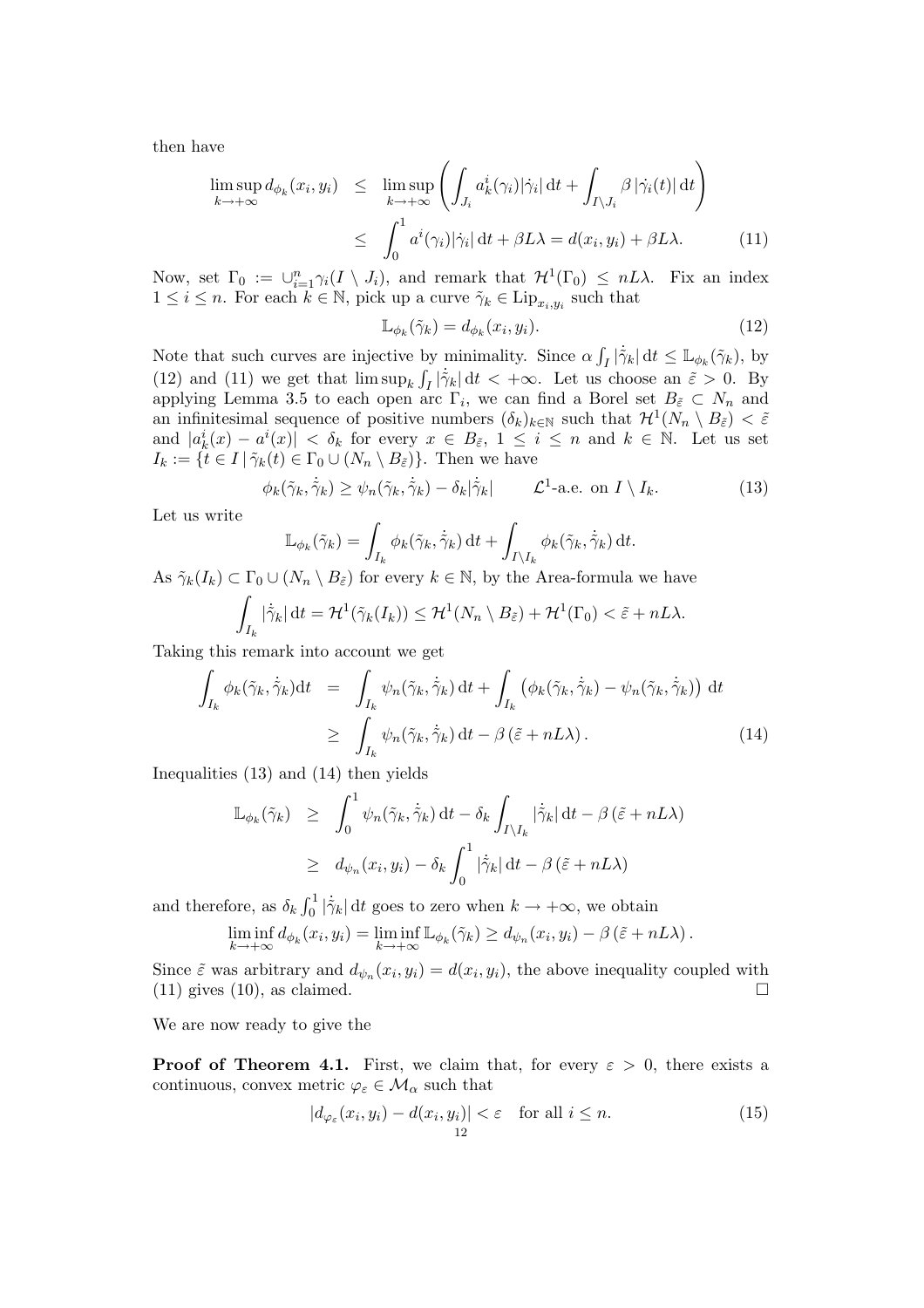then have

$$
\limsup_{k \to +\infty} d_{\phi_k}(x_i, y_i) \leq \limsup_{k \to +\infty} \left( \int_{J_i} a_k^i(\gamma_i) |\dot{\gamma}_i| dt + \int_{I \setminus J_i} \beta |\dot{\gamma}_i(t)| dt \right)
$$
  

$$
\leq \int_0^1 a^i(\gamma_i) |\dot{\gamma}_i| dt + \beta L\lambda = d(x_i, y_i) + \beta L\lambda.
$$
 (11)

Now, set  $\Gamma_0 := \bigcup_{i=1}^n \gamma_i(I \setminus J_i)$ , and remark that  $\mathcal{H}^1(\Gamma_0) \leq nL\lambda$ . Fix an index  $1 \leq i \leq n$ . For each  $k \in \mathbb{N}$ , pick up a curve  $\tilde{\gamma}_k \in \text{Lip}_{x_i,y_i}$  such that

$$
\mathbb{L}_{\phi_k}(\tilde{\gamma}_k) = d_{\phi_k}(x_i, y_i). \tag{12}
$$

Note that such curves are injective by minimality. Since  $\alpha$ by minimality. Since  $\alpha \int_I |\dot{\tilde{\gamma}}_k| dt \leq \mathbb{L}_{\phi_k}(\tilde{\gamma}_k)$ , by (12) and (11) we get that  $\limsup_k \int_I |\dot{\tilde{\gamma}}_k| dt < +\infty$ . Let us choose an  $\tilde{\varepsilon} > 0$ . By applying Lemma 3.5 to each open arc  $\Gamma_i$ , we can find a Borel set  $B_{\tilde{\varepsilon}} \subset N_n$  and an infinitesimal sequence of positive numbers  $(\delta_k)_{k\in\mathbb{N}}$  such that  $\mathcal{H}^1(N_n \setminus B_{\tilde{\varepsilon}}) < \tilde{\varepsilon}$ and  $|a_k^i(x) - a^i(x)| < \delta_k$  for every  $x \in B_{\tilde{\varepsilon}}$ ,  $1 \le i \le n$  and  $k \in \mathbb{N}$ . Let us set  $I_k := \{t \in I \mid \tilde{\gamma}_k(t) \in \Gamma_0 \cup (N_n \setminus B_{\tilde{\varepsilon}})\}\.$  Then we have

$$
\phi_k(\tilde{\gamma}_k, \dot{\tilde{\gamma}}_k) \ge \psi_n(\tilde{\gamma}_k, \dot{\tilde{\gamma}}_k) - \delta_k |\dot{\tilde{\gamma}}_k| \qquad \mathcal{L}^1\text{-a.e. on } I \setminus I_k. \tag{13}
$$

Let us write

$$
\mathbb{L}_{\phi_k}(\tilde{\gamma}_k) = \int_{I_k} \phi_k(\tilde{\gamma}_k, \dot{\tilde{\gamma}}_k) dt + \int_{I \setminus I_k} \phi_k(\tilde{\gamma}_k, \dot{\tilde{\gamma}}_k) dt.
$$

As  $\tilde{\gamma}_k(I_k) \subset \Gamma_0 \cup (N_n \setminus B_{\tilde{\varepsilon}})$  for every  $k \in \mathbb{N}$ , by the Area-formula we have

$$
\int_{I_k} |\dot{\tilde{\gamma}}_k| dt = \mathcal{H}^1(\tilde{\gamma}_k(I_k)) \le \mathcal{H}^1(N_n \setminus B_{\tilde{\varepsilon}}) + \mathcal{H}^1(\Gamma_0) < \tilde{\varepsilon} + nL\lambda.
$$

Taking this remark into account we get

$$
\int_{I_k} \phi_k(\tilde{\gamma}_k, \dot{\tilde{\gamma}}_k) dt = \int_{I_k} \psi_n(\tilde{\gamma}_k, \dot{\tilde{\gamma}}_k) dt + \int_{I_k} (\phi_k(\tilde{\gamma}_k, \dot{\tilde{\gamma}}_k) - \psi_n(\tilde{\gamma}_k, \dot{\tilde{\gamma}}_k)) dt
$$
\n
$$
\geq \int_{I_k} \psi_n(\tilde{\gamma}_k, \dot{\tilde{\gamma}}_k) dt - \beta (\tilde{\varepsilon} + nL\lambda).
$$
\n(14)

Inequalities (13) and (14) then yields

$$
\mathbb{L}_{\phi_k}(\tilde{\gamma}_k) \geq \int_0^1 \psi_n(\tilde{\gamma}_k, \dot{\tilde{\gamma}}_k) dt - \delta_k \int_{I \setminus I_k} |\dot{\tilde{\gamma}}_k| dt - \beta (\tilde{\varepsilon} + nL\lambda)
$$
\n
$$
\geq d_{\psi_n}(x_i, y_i) - \delta_k \int_0^1 |\dot{\tilde{\gamma}}_k| dt - \beta (\tilde{\varepsilon} + nL\lambda)
$$

and therefore, as  $\delta_k \int_0^1$  $\int_0^1 |\dot{\tilde{\gamma}}_k| dt$  goes to zero when  $k \to +\infty$ , we obtain

$$
\liminf_{k \to +\infty} d_{\phi_k}(x_i, y_i) = \liminf_{k \to +\infty} \mathbb{L}_{\phi_k}(\tilde{\gamma}_k) \geq d_{\psi_n}(x_i, y_i) - \beta (\tilde{\varepsilon} + nL\lambda).
$$

Since  $\tilde{\varepsilon}$  was arbitrary and  $d_{\psi_n}(x_i, y_i) = d(x_i, y_i)$ , the above inequality coupled with (11) gives (10), as claimed.  $\Box$ 

We are now ready to give the

**Proof of Theorem 4.1.** First, we claim that, for every  $\varepsilon > 0$ , there exists a continuous, convex metric  $\varphi_{\varepsilon} \in \mathcal{M}_{\alpha}$  such that

$$
|d_{\varphi_{\varepsilon}}(x_i, y_i) - d(x_i, y_i)| < \varepsilon \quad \text{for all } i \le n.
$$
 (15)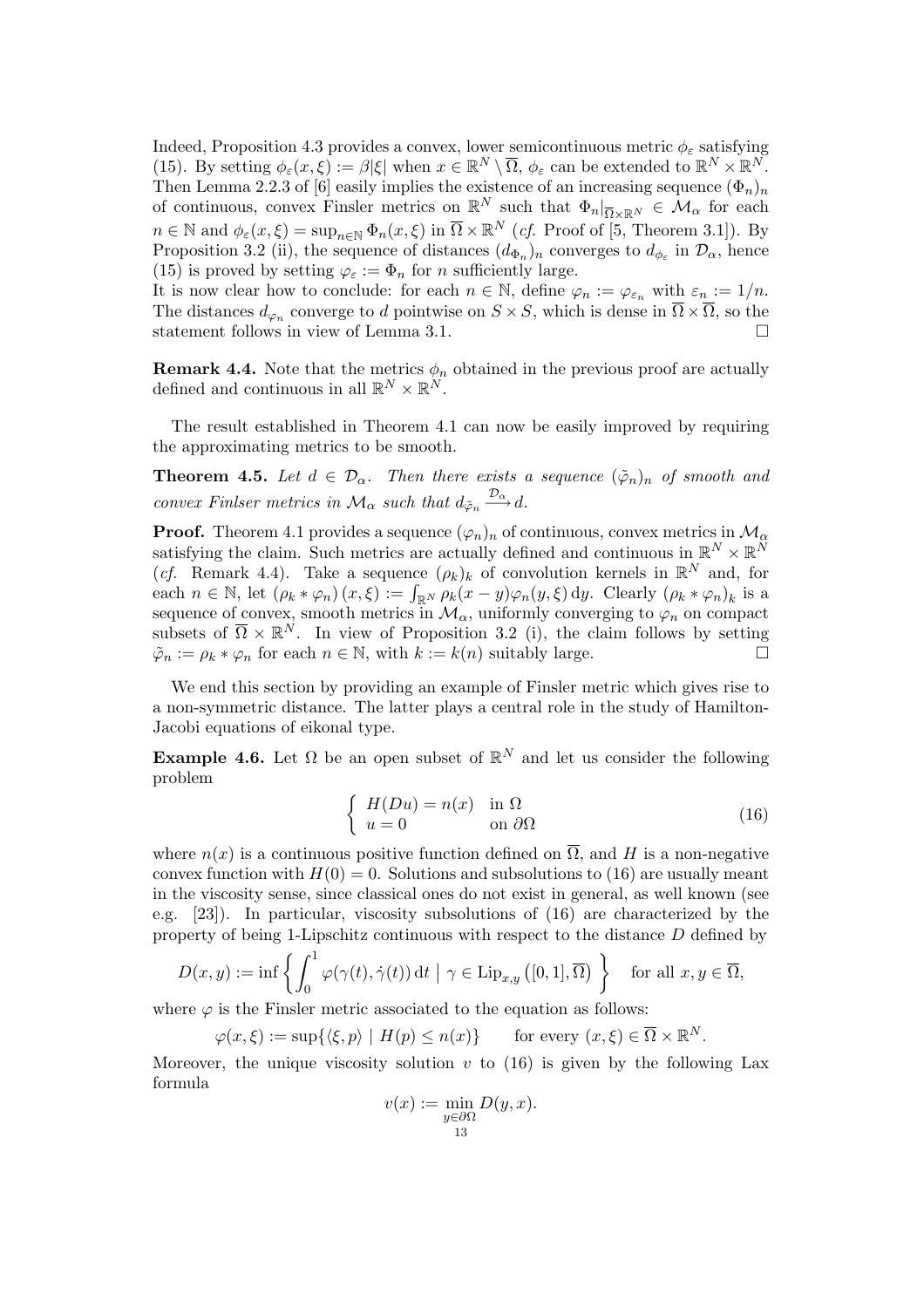Indeed, Proposition 4.3 provides a convex, lower semicontinuous metric  $\phi_{\varepsilon}$  satisfying (15). By setting  $\phi_{\varepsilon}(x,\xi) := \beta |\xi|$  when  $x \in \mathbb{R}^N \setminus \overline{\Omega}$ ,  $\phi_{\varepsilon}$  can be extended to  $\mathbb{R}^N \times \mathbb{R}^N$ . Then Lemma 2.2.3 of [6] easily implies the existence of an increasing sequence  $(\Phi_n)_n$ of continuous, convex Finsler metrics on  $\mathbb{R}^N$  such that  $\Phi_n|_{\overline{\Omega}\times\mathbb{R}^N} \in \mathcal{M}_\alpha$  for each  $n \in \mathbb{N}$  and  $\phi_{\varepsilon}(x,\xi) = \sup_{n \in \mathbb{N}} \Phi_n(x,\xi)$  in  $\overline{\Omega} \times \mathbb{R}^N$  (*cf.* Proof of [5, Theorem 3.1]). By Proposition 3.2 (ii), the sequence of distances  $(d_{\Phi_n})_n$  converges to  $d_{\phi_{\varepsilon}}$  in  $\mathcal{D}_{\alpha}$ , hence (15) is proved by setting  $\varphi_{\varepsilon} := \Phi_n$  for *n* sufficiently large.

It is now clear how to conclude: for each  $n \in \mathbb{N}$ , define  $\varphi_n := \varphi_{\varepsilon_n}$  with  $\varepsilon_n := 1/n$ . The distances  $d_{\varphi_n}$  converge to d pointwise on  $S \times S$ , which is dense in  $\overline{\Omega} \times \overline{\Omega}$ , so the statement follows in view of Lemma 3.1.

**Remark 4.4.** Note that the metrics  $\phi_n$  obtained in the previous proof are actually defined and continuous in all  $\mathbb{R}^N \times \mathbb{R}^N$ .

The result established in Theorem 4.1 can now be easily improved by requiring the approximating metrics to be smooth.

**Theorem 4.5.** Let  $d \in \mathcal{D}_{\alpha}$ . Then there exists a sequence  $(\tilde{\varphi}_n)_n$  of smooth and convex Finlser metrics in  $\mathcal{M}_{\alpha}$  such that  $d_{\tilde{\varphi}_n} \stackrel{\mathcal{D}_{\alpha}}{\longrightarrow} d$ .

**Proof.** Theorem 4.1 provides a sequence  $(\varphi_n)_n$  of continuous, convex metrics in  $\mathcal{M}_{\alpha}$ satisfying the claim. Such metrics are actually defined and continuous in  $\mathbb{R}^N \times \mathbb{R}^N$ (*cf.* Remark 4.4). Take a sequence  $(\rho_k)_k$  of convolution kernels in  $\mathbb{R}^N$  and, for (*cj.* Remark 4.4). Take a sequence  $(\rho_k)_k$  or convolution kernels in  $\mathbb{R}^n$  and, for each  $n \in \mathbb{N}$ , let  $(\rho_k * \varphi_n)(x, \xi) := \int_{\mathbb{R}^N} \rho_k(x - y) \varphi_n(y, \xi) dy$ . Clearly  $(\rho_k * \varphi_n)_k$  is a sequence of convex, smooth metrics in  $\mathcal{M}_{\alpha}$ , uniformly converging to  $\varphi_n$  on compact subsets of  $\overline{\Omega} \times \mathbb{R}^N$ . In view of Proposition 3.2 (i), the claim follows by setting  $\tilde{\varphi}_n := \rho_k * \varphi_n$  for each  $n \in \mathbb{N}$ , with  $k := k(n)$  suitably large.

We end this section by providing an example of Finsler metric which gives rise to a non-symmetric distance. The latter plays a central role in the study of Hamilton-Jacobi equations of eikonal type.

**Example 4.6.** Let  $\Omega$  be an open subset of  $\mathbb{R}^N$  and let us consider the following problem

$$
\begin{cases}\nH(Du) = n(x) & \text{in } \Omega \\
u = 0 & \text{on } \partial\Omega\n\end{cases}
$$
\n(16)

where  $n(x)$  is a continuous positive function defined on  $\overline{\Omega}$ , and H is a non-negative convex function with  $H(0) = 0$ . Solutions and subsolutions to (16) are usually meant in the viscosity sense, since classical ones do not exist in general, as well known (see e.g. [23]). In particular, viscosity subsolutions of (16) are characterized by the property of being 1-Lipschitz continuous with respect to the distance D defined by

$$
D(x,y) := \inf \left\{ \int_0^1 \varphi(\gamma(t), \dot{\gamma}(t)) dt \mid \gamma \in \mathrm{Lip}_{x,y} \left( [0,1], \overline{\Omega} \right) \right\} \quad \text{for all } x, y \in \overline{\Omega},
$$

where  $\varphi$  is the Finsler metric associated to the equation as follows:

$$
\varphi(x,\xi) := \sup \{ \langle \xi, p \rangle \mid H(p) \le n(x) \} \quad \text{for every } (x,\xi) \in \overline{\Omega} \times \mathbb{R}^N.
$$

Moreover, the unique viscosity solution  $v$  to (16) is given by the following Lax formula

$$
v(x) := \min_{\substack{y \in \partial \Omega \\ 13}} D(y, x).
$$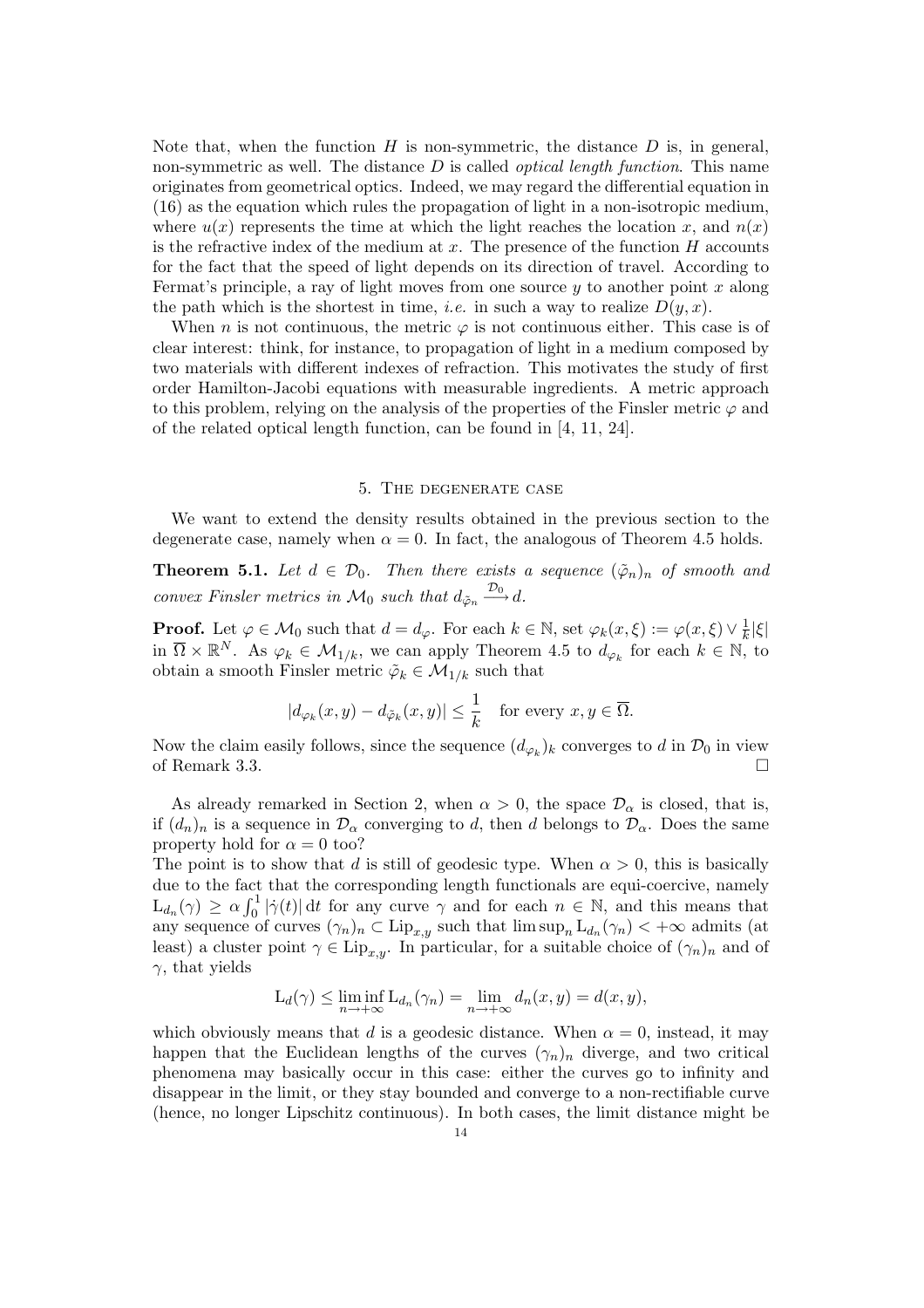Note that, when the function  $H$  is non-symmetric, the distance  $D$  is, in general, non-symmetric as well. The distance  $D$  is called *optical length function*. This name originates from geometrical optics. Indeed, we may regard the differential equation in (16) as the equation which rules the propagation of light in a non-isotropic medium, where  $u(x)$  represents the time at which the light reaches the location x, and  $n(x)$ is the refractive index of the medium at  $x$ . The presence of the function  $H$  accounts for the fact that the speed of light depends on its direction of travel. According to Fermat's principle, a ray of light moves from one source  $y$  to another point x along the path which is the shortest in time, *i.e.* in such a way to realize  $D(y, x)$ .

When n is not continuous, the metric  $\varphi$  is not continuous either. This case is of clear interest: think, for instance, to propagation of light in a medium composed by two materials with different indexes of refraction. This motivates the study of first order Hamilton-Jacobi equations with measurable ingredients. A metric approach to this problem, relying on the analysis of the properties of the Finsler metric  $\varphi$  and of the related optical length function, can be found in [4, 11, 24].

### 5. The degenerate case

We want to extend the density results obtained in the previous section to the degenerate case, namely when  $\alpha = 0$ . In fact, the analogous of Theorem 4.5 holds.

**Theorem 5.1.** Let  $d \in \mathcal{D}_0$ . Then there exists a sequence  $(\tilde{\varphi}_n)_n$  of smooth and convex Finsler metrics in  $\mathcal{M}_0$  such that  $d_{\tilde{\varphi}_n} \stackrel{\mathcal{D}_0}{\longrightarrow} d$ .

**Proof.** Let  $\varphi \in \mathcal{M}_0$  such that  $d = d_{\varphi}$ . For each  $k \in \mathbb{N}$ , set  $\varphi_k(x, \xi) := \varphi(x, \xi) \vee \frac{1}{k}$  $\frac{1}{k}|\xi|$ in  $\overline{\Omega} \times \mathbb{R}^N$ . As  $\varphi_k \in \mathcal{M}_{1/k}$ , we can apply Theorem 4.5 to  $d_{\varphi_k}$  for each  $k \in \mathbb{N}$ , to obtain a smooth Finsler metric  $\tilde{\varphi}_k \in \mathcal{M}_{1/k}$  such that

$$
|d_{\varphi_k}(x,y) - d_{\tilde{\varphi}_k}(x,y)| \leq \frac{1}{k}
$$
 for every  $x, y \in \overline{\Omega}$ .

Now the claim easily follows, since the sequence  $(d_{\varphi_k})_k$  converges to d in  $\mathcal{D}_0$  in view of Remark 3.3.  $\Box$ 

As already remarked in Section 2, when  $\alpha > 0$ , the space  $\mathcal{D}_{\alpha}$  is closed, that is, if  $(d_n)_n$  is a sequence in  $\mathcal{D}_{\alpha}$  converging to d, then d belongs to  $\mathcal{D}_{\alpha}$ . Does the same property hold for  $\alpha = 0$  too?

The point is to show that d is still of geodesic type. When  $\alpha > 0$ , this is basically due to the fact that the corresponding length functionals are equi-coercive, namely  $\mathop{\hbox{\rm Lie}}\nolimits$  to the fact  $\mathop{\hbox{\rm Lie}}\nolimits$  $\int_0^1 |\dot{\gamma}(t)| dt$  for any curve  $\gamma$  and for each  $n \in \mathbb{N}$ , and this means that any sequence of curves  $(\gamma_n)_n \subset \text{Lip}_{x,y}$  such that  $\limsup_n \text{L}_{d_n}(\gamma_n) < +\infty$  admits (at least) a cluster point  $\gamma \in \text{Lip}_{x,y}$ . In particular, for a suitable choice of  $(\gamma_n)_n$  and of  $\gamma$ , that yields

$$
L_d(\gamma) \le \liminf_{n \to +\infty} L_{d_n}(\gamma_n) = \lim_{n \to +\infty} d_n(x, y) = d(x, y),
$$

which obviously means that d is a geodesic distance. When  $\alpha = 0$ , instead, it may happen that the Euclidean lengths of the curves  $(\gamma_n)_n$  diverge, and two critical phenomena may basically occur in this case: either the curves go to infinity and disappear in the limit, or they stay bounded and converge to a non-rectifiable curve (hence, no longer Lipschitz continuous). In both cases, the limit distance might be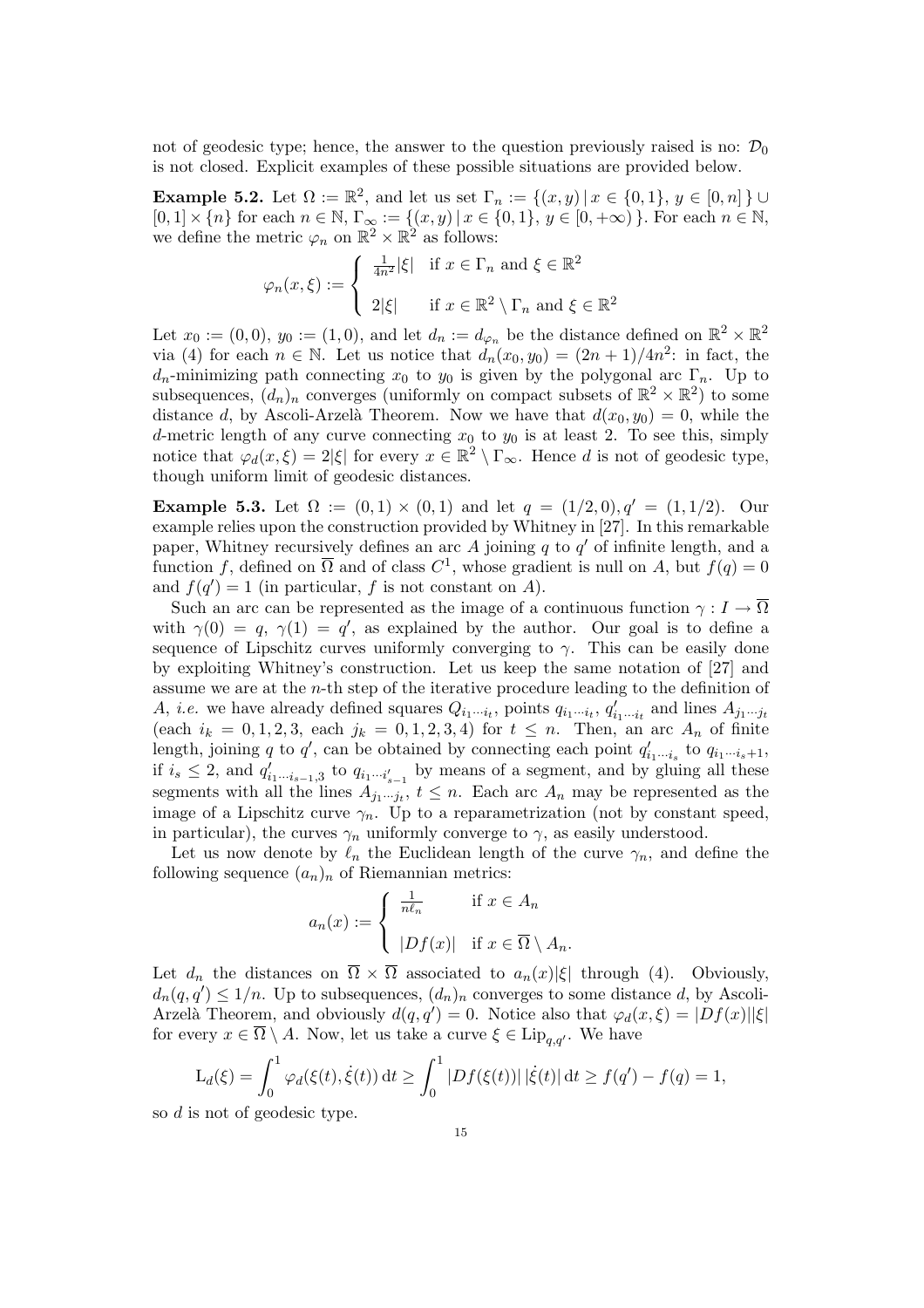not of geodesic type; hence, the answer to the question previously raised is no:  $\mathcal{D}_0$ is not closed. Explicit examples of these possible situations are provided below.

**Example 5.2.** Let  $\Omega := \mathbb{R}^2$ , and let us set  $\Gamma_n := \{(x, y) | x \in \{0, 1\}, y \in [0, n] \} \cup$  $[0,1] \times \{n\}$  for each  $n \in \mathbb{N}$ ,  $\Gamma_{\infty} := \{(x, y) | x \in \{0, 1\}$ ,  $y \in [0, +\infty)$ . For each  $n \in \mathbb{N}$ , we define the metric  $\varphi_n$  on  $\mathbb{R}^2 \times \mathbb{R}^2$  as follows:  $\frac{1}{2}$ 

$$
\varphi_n(x,\xi) := \begin{cases} \frac{1}{4n^2} |\xi| & \text{if } x \in \Gamma_n \text{ and } \xi \in \mathbb{R}^2 \\ 2|\xi| & \text{if } x \in \mathbb{R}^2 \setminus \Gamma_n \text{ and } \xi \in \mathbb{R}^2 \end{cases}
$$

Let  $x_0 := (0,0), y_0 := (1,0)$ , and let  $d_n := d_{\varphi_n}$  be the distance defined on  $\mathbb{R}^2 \times \mathbb{R}^2$ via (4) for each  $n \in \mathbb{N}$ . Let us notice that  $d_n(x_0, y_0) = (2n+1)/4n^2$ : in fact, the  $d_n$ -minimizing path connecting  $x_0$  to  $y_0$  is given by the polygonal arc  $\Gamma_n$ . Up to subsequences,  $(d_n)_n$  converges (uniformly on compact subsets of  $\mathbb{R}^2 \times \mathbb{R}^2$ ) to some distance d, by Ascoli-Arzelà Theorem. Now we have that  $d(x_0, y_0) = 0$ , while the d-metric length of any curve connecting  $x_0$  to  $y_0$  is at least 2. To see this, simply notice that  $\varphi_d(x,\xi) = 2|\xi|$  for every  $x \in \mathbb{R}^2 \setminus \Gamma_{\infty}$ . Hence d is not of geodesic type, though uniform limit of geodesic distances.

Example 5.3. Let  $\Omega := (0,1) \times (0,1)$  and let  $q = (1/2,0), q' = (1,1/2)$ . Our example relies upon the construction provided by Whitney in [27]. In this remarkable paper, Whitney recursively defines an arc A joining  $q$  to  $q'$  of infinite length, and a function f, defined on  $\overline{\Omega}$  and of class  $C^1$ , whose gradient is null on A, but  $f(q) = 0$ and  $f(q') = 1$  (in particular, f is not constant on A).

Such an arc can be represented as the image of a continuous function  $\gamma : I \to \overline{\Omega}$ with  $\gamma(0) = q$ ,  $\gamma(1) = q'$ , as explained by the author. Our goal is to define a sequence of Lipschitz curves uniformly converging to  $\gamma$ . This can be easily done by exploiting Whitney's construction. Let us keep the same notation of [27] and assume we are at the  $n$ -th step of the iterative procedure leading to the definition of A, *i.e.* we have already defined squares  $Q_{i_1\cdots i_t}$ , points  $q_{i_1\cdots i_t}$ ,  $q'_{i_1\cdots i_t}$  and lines  $A_{j_1\cdots j_t}$ (each  $i_k = 0, 1, 2, 3$ , each  $j_k = 0, 1, 2, 3, 4$ ) for  $t \leq n$ . Then, an arc  $A_n$  of finite length, joining q to q', can be obtained by connecting each point  $q'_{i_1\cdots i_s}$  to  $q_{i_1\cdots i_s+1}$ , if  $i_s \leq 2$ , and  $q'_{i_1 \cdots i_{s-1},3}$  to  $q_{i_1 \cdots i'_{s-1}}$  by means of a segment, and by gluing all these segments with all the lines  $A_{j_1\cdots j_t}$ ,  $t \leq n$ . Each arc  $A_n$  may be represented as the image of a Lipschitz curve  $\gamma_n$ . Up to a reparametrization (not by constant speed, in particular), the curves  $\gamma_n$  uniformly converge to  $\gamma$ , as easily understood.

Let us now denote by  $\ell_n$  the Euclidean length of the curve  $\gamma_n$ , and define the following sequence  $(a_n)_n$  of Riemannian metrics:

$$
a_n(x) := \begin{cases} \frac{1}{n\ell_n} & \text{if } x \in A_n \\ |Df(x)| & \text{if } x \in \overline{\Omega} \setminus A_n. \end{cases}
$$

Let  $d_n$  the distances on  $\overline{\Omega} \times \overline{\Omega}$  associated to  $a_n(x)|\xi|$  through (4). Obviously,  $d_n(q,q') \leq 1/n$ . Up to subsequences,  $(d_n)_n$  converges to some distance d, by Ascoli-Arzelà Theorem, and obviously  $d(q, q') = 0$ . Notice also that  $\varphi_d(x, \xi) = |Df(x)||\xi|$ for every  $x \in \overline{\Omega} \setminus A$ . Now, let us take a curve  $\xi \in \text{Lip}_{q,q'}$ . We have

$$
L_d(\xi) = \int_0^1 \varphi_d(\xi(t), \dot{\xi}(t)) dt \ge \int_0^1 |Df(\xi(t))| |\dot{\xi}(t)| dt \ge f(q') - f(q) = 1,
$$

so d is not of geodesic type.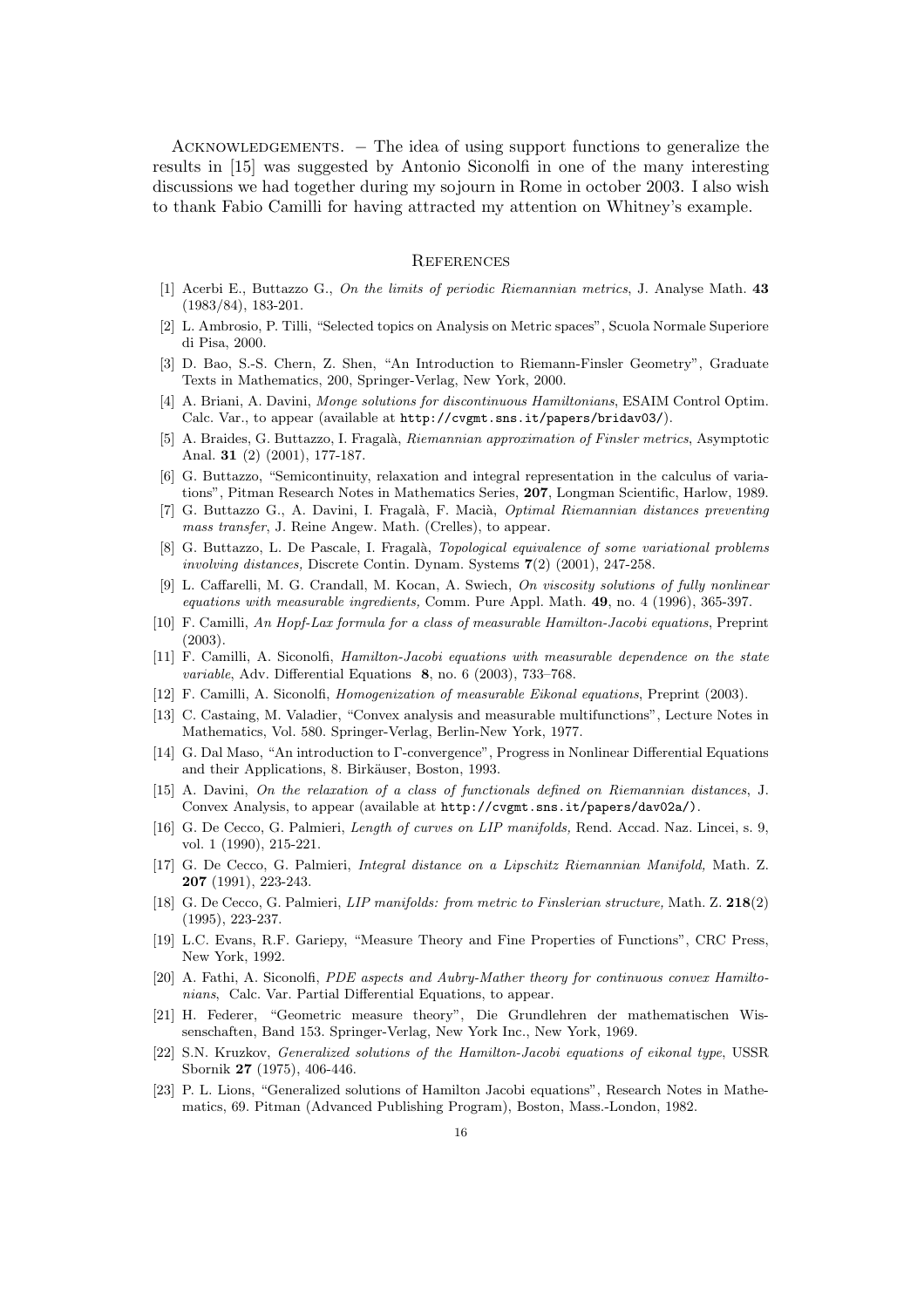ACKNOWLEDGEMENTS. – The idea of using support functions to generalize the results in [15] was suggested by Antonio Siconolfi in one of the many interesting discussions we had together during my sojourn in Rome in october 2003. I also wish to thank Fabio Camilli for having attracted my attention on Whitney's example.

## **REFERENCES**

- [1] Acerbi E., Buttazzo G., On the limits of periodic Riemannian metrics, J. Analyse Math. 43 (1983/84), 183-201.
- [2] L. Ambrosio, P. Tilli, "Selected topics on Analysis on Metric spaces", Scuola Normale Superiore di Pisa, 2000.
- [3] D. Bao, S.-S. Chern, Z. Shen, "An Introduction to Riemann-Finsler Geometry", Graduate Texts in Mathematics, 200, Springer-Verlag, New York, 2000.
- [4] A. Briani, A. Davini, Monge solutions for discontinuous Hamiltonians, ESAIM Control Optim. Calc. Var., to appear (available at http://cvgmt.sns.it/papers/bridav03/).
- [5] A. Braides, G. Buttazzo, I. Fragalà, Riemannian approximation of Finsler metrics, Asymptotic Anal. 31 (2) (2001), 177-187.
- [6] G. Buttazzo, "Semicontinuity, relaxation and integral representation in the calculus of variations", Pitman Research Notes in Mathematics Series, 207, Longman Scientific, Harlow, 1989.
- [7] G. Buttazzo G., A. Davini, I. Fragalà, F. Macià, *Optimal Riemannian distances preventing* mass transfer, J. Reine Angew. Math. (Crelles), to appear.
- [8] G. Buttazzo, L. De Pascale, I. Fragalà, *Topological equivalence of some variational problems* involving distances, Discrete Contin. Dynam. Systems 7(2) (2001), 247-258.
- [9] L. Caffarelli, M. G. Crandall, M. Kocan, A. Swiech, On viscosity solutions of fully nonlinear equations with measurable ingredients, Comm. Pure Appl. Math. 49, no. 4 (1996), 365-397.
- [10] F. Camilli, An Hopf-Lax formula for a class of measurable Hamilton-Jacobi equations, Preprint (2003).
- [11] F. Camilli, A. Siconolfi, Hamilton-Jacobi equations with measurable dependence on the state variable, Adv. Differential Equations 8, no. 6 (2003), 733–768.
- [12] F. Camilli, A. Siconolfi, Homogenization of measurable Eikonal equations, Preprint (2003).
- [13] C. Castaing, M. Valadier, "Convex analysis and measurable multifunctions", Lecture Notes in Mathematics, Vol. 580. Springer-Verlag, Berlin-New York, 1977.
- [14] G. Dal Maso, "An introduction to Γ-convergence", Progress in Nonlinear Differential Equations and their Applications, 8. Birkäuser, Boston, 1993.
- [15] A. Davini, On the relaxation of a class of functionals defined on Riemannian distances, J. Convex Analysis, to appear (available at http://cvgmt.sns.it/papers/dav02a/).
- [16] G. De Cecco, G. Palmieri, Length of curves on LIP manifolds, Rend. Accad. Naz. Lincei, s. 9, vol. 1 (1990), 215-221.
- [17] G. De Cecco, G. Palmieri, Integral distance on a Lipschitz Riemannian Manifold, Math. Z. 207 (1991), 223-243.
- [18] G. De Cecco, G. Palmieri, *LIP manifolds: from metric to Finslerian structure*, Math. Z. 218(2) (1995), 223-237.
- [19] L.C. Evans, R.F. Gariepy, "Measure Theory and Fine Properties of Functions", CRC Press, New York, 1992.
- [20] A. Fathi, A. Siconolfi, PDE aspects and Aubry-Mather theory for continuous convex Hamiltonians, Calc. Var. Partial Differential Equations, to appear.
- [21] H. Federer, "Geometric measure theory", Die Grundlehren der mathematischen Wissenschaften, Band 153. Springer-Verlag, New York Inc., New York, 1969.
- [22] S.N. Kruzkov, Generalized solutions of the Hamilton-Jacobi equations of eikonal type, USSR Sbornik 27 (1975), 406-446.
- [23] P. L. Lions, "Generalized solutions of Hamilton Jacobi equations", Research Notes in Mathematics, 69. Pitman (Advanced Publishing Program), Boston, Mass.-London, 1982.